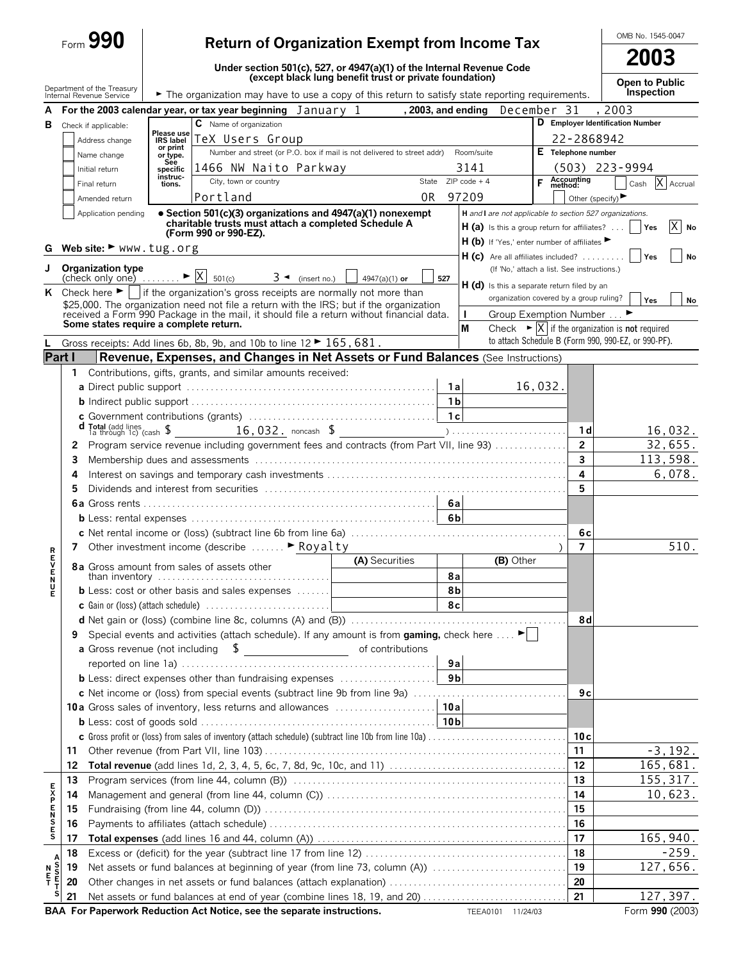|              |        | Form 990                                                           |                                | <b>Return of Organization Exempt from Income Tax</b>                                                                                                                                                                                     |                                                         |                |                                                                                                                                           |                    |                       | OMB No. 1545-0047                                                                                                  |  |  |
|--------------|--------|--------------------------------------------------------------------|--------------------------------|------------------------------------------------------------------------------------------------------------------------------------------------------------------------------------------------------------------------------------------|---------------------------------------------------------|----------------|-------------------------------------------------------------------------------------------------------------------------------------------|--------------------|-----------------------|--------------------------------------------------------------------------------------------------------------------|--|--|
|              |        |                                                                    |                                | Under section 501(c), 527, or 4947(a)(1) of the Internal Revenue Code                                                                                                                                                                    |                                                         |                |                                                                                                                                           |                    |                       | 2003                                                                                                               |  |  |
|              |        | Department of the Treasury<br>Internal Revenue Service             |                                | The organization may have to use a copy of this return to satisfy state reporting requirements.                                                                                                                                          | (except black lung benefit trust or private foundation) |                |                                                                                                                                           |                    |                       | Open to Public<br>Inspection                                                                                       |  |  |
| A            |        |                                                                    |                                | For the 2003 calendar year, or tax year beginning $January$ 1                                                                                                                                                                            |                                                         |                | , 2003, and ending                                                                                                                        | December 31        |                       | . 2003                                                                                                             |  |  |
| в            |        | Check if applicable:                                               |                                | C Name of organization                                                                                                                                                                                                                   |                                                         |                |                                                                                                                                           |                    |                       | D Employer Identification Number                                                                                   |  |  |
|              |        | Address change                                                     | Please use<br><b>IRS label</b> | TeX Users Group                                                                                                                                                                                                                          |                                                         |                |                                                                                                                                           |                    | 22-2868942            |                                                                                                                    |  |  |
|              |        | Name change                                                        | or print<br>or type.           | Number and street (or P.O. box if mail is not delivered to street addr) Room/suite                                                                                                                                                       |                                                         |                |                                                                                                                                           | E Telephone number |                       |                                                                                                                    |  |  |
|              |        | Initial return                                                     | See<br>specific                | 1466 NW Naito Parkway                                                                                                                                                                                                                    |                                                         |                | 3141                                                                                                                                      |                    | $(503)$ 223-9994      |                                                                                                                    |  |  |
|              |        | Final return                                                       | instruc-<br>tions.             | City, town or country                                                                                                                                                                                                                    |                                                         |                | State $ZIPcode + 4$                                                                                                                       | F Accounting       |                       | X Accrual<br>Cash                                                                                                  |  |  |
|              |        | Amended return                                                     |                                | Portland                                                                                                                                                                                                                                 |                                                         | 0R             | 97209                                                                                                                                     |                    | Other (specify)       |                                                                                                                    |  |  |
| G            |        | Application pending<br>Web site: $\blacktriangleright$ www.tug.org |                                | • Section 501(c)(3) organizations and 4947(a)(1) nonexempt<br>charitable trusts must attach a completed Schedule A<br>(Form 990 or 990-EZ).                                                                                              | $H(b)$ If 'Yes,' enter number of affiliates             |                | H and I are not applicable to section 527 organizations.<br>X<br><b>H</b> (a) Is this a group return for affiliates? $\dots$<br>No<br>Yes |                    |                       |                                                                                                                    |  |  |
|              |        |                                                                    |                                |                                                                                                                                                                                                                                          |                                                         |                | $H (c)$ Are all affiliates included?                                                                                                      |                    |                       | Yes<br><b>No</b>                                                                                                   |  |  |
| J            |        | <b>Organization type</b>                                           |                                | $3 \blacktriangleleft$ (insert no.)<br>K Check here $\blacktriangleright$     if the organization's gross receipts are normally not more than<br>\$25,000. The organization need not file a return with the IRS; but if the organization | 4947(a)(1) or                                           | 527            | (If 'No,' attach a list. See instructions.)<br>$H(d)$ is this a separate return filed by an<br>organization covered by a group ruling?    |                    |                       | Yes<br>No                                                                                                          |  |  |
|              |        |                                                                    |                                | received a Form 990 Package in the mail, it should file a return without financial data.                                                                                                                                                 |                                                         |                | Group Exemption Number<br>$\mathbf{I}$                                                                                                    |                    |                       |                                                                                                                    |  |  |
|              |        | Some states require a complete return.                             |                                |                                                                                                                                                                                                                                          |                                                         |                | M                                                                                                                                         |                    |                       | Check $\blacktriangleright$ $\blacktriangleright$ $\blacktriangleright$ if the organization is <b>not</b> required |  |  |
|              |        |                                                                    |                                | Gross receipts: Add lines 6b, 8b, 9b, and 10b to line $12 \triangleright 165$ , 681.                                                                                                                                                     |                                                         |                |                                                                                                                                           |                    |                       | to attach Schedule B (Form 990, 990-EZ, or 990-PF).                                                                |  |  |
| Part I       |        |                                                                    |                                | Revenue, Expenses, and Changes in Net Assets or Fund Balances (See Instructions)                                                                                                                                                         |                                                         |                |                                                                                                                                           |                    |                       |                                                                                                                    |  |  |
|              | 1.     |                                                                    |                                | Contributions, gifts, grants, and similar amounts received:                                                                                                                                                                              |                                                         |                |                                                                                                                                           |                    |                       |                                                                                                                    |  |  |
|              |        |                                                                    |                                |                                                                                                                                                                                                                                          |                                                         | - 1 a l        |                                                                                                                                           | 16,032.            |                       |                                                                                                                    |  |  |
|              |        |                                                                    |                                |                                                                                                                                                                                                                                          |                                                         |                |                                                                                                                                           |                    |                       |                                                                                                                    |  |  |
|              |        |                                                                    |                                |                                                                                                                                                                                                                                          |                                                         |                |                                                                                                                                           |                    |                       |                                                                                                                    |  |  |
|              |        |                                                                    |                                |                                                                                                                                                                                                                                          |                                                         |                |                                                                                                                                           |                    | 1 d<br>$\overline{2}$ | 16,032.                                                                                                            |  |  |
|              | 2      |                                                                    |                                | Program service revenue including government fees and contracts (from Part VII, line 93)                                                                                                                                                 |                                                         |                |                                                                                                                                           |                    | $\overline{3}$        | 32,655.<br>113,598.                                                                                                |  |  |
|              | 3<br>4 |                                                                    |                                |                                                                                                                                                                                                                                          |                                                         |                |                                                                                                                                           |                    | 4                     | 6,078.                                                                                                             |  |  |
|              | 5      |                                                                    |                                |                                                                                                                                                                                                                                          |                                                         |                |                                                                                                                                           |                    | 5                     |                                                                                                                    |  |  |
|              |        |                                                                    |                                |                                                                                                                                                                                                                                          |                                                         |                |                                                                                                                                           |                    |                       |                                                                                                                    |  |  |
|              |        |                                                                    |                                | <b>b</b> Less: rental expenses $\ldots$ $\ldots$ $\ldots$ $\ldots$ $\ldots$ $\ldots$ $\ldots$ $\ldots$ $\ldots$ $\ldots$                                                                                                                 |                                                         | 6 <sub>b</sub> |                                                                                                                                           |                    |                       |                                                                                                                    |  |  |
|              |        |                                                                    |                                |                                                                                                                                                                                                                                          |                                                         |                |                                                                                                                                           |                    | 6с                    |                                                                                                                    |  |  |
|              |        |                                                                    |                                | 7 Other investment income (describe  Floyalty                                                                                                                                                                                            |                                                         |                |                                                                                                                                           |                    | $\overline{7}$        | 510.                                                                                                               |  |  |
| R<br>E<br>v  |        |                                                                    |                                | 8a Gross amount from sales of assets other                                                                                                                                                                                               | (A) Securities                                          |                | (B) Other                                                                                                                                 |                    |                       |                                                                                                                    |  |  |
|              |        |                                                                    |                                | than inventory $\ldots \ldots \ldots \ldots \ldots \ldots \ldots \ldots \ldots \ldots$                                                                                                                                                   |                                                         | 8а             |                                                                                                                                           |                    |                       |                                                                                                                    |  |  |
| E<br>N<br>E  |        |                                                                    |                                | <b>b</b> Less: cost or other basis and sales expenses                                                                                                                                                                                    |                                                         | 8b             |                                                                                                                                           |                    |                       |                                                                                                                    |  |  |
|              |        |                                                                    |                                | <b>c</b> Gain or (loss) (attach schedule) $\ldots \ldots \ldots \ldots \ldots \ldots \ldots$                                                                                                                                             |                                                         | 8c             |                                                                                                                                           |                    |                       |                                                                                                                    |  |  |
|              |        |                                                                    |                                |                                                                                                                                                                                                                                          |                                                         |                |                                                                                                                                           |                    | 8d                    |                                                                                                                    |  |  |
|              | 9      |                                                                    |                                | Special events and activities (attach schedule). If any amount is from gaming, check here $\dots \blacktriangleright$                                                                                                                    |                                                         |                |                                                                                                                                           |                    |                       |                                                                                                                    |  |  |
|              |        |                                                                    |                                | <b>a</b> Gross revenue (not including $\quad \text{S}$ __________________________ of contributions                                                                                                                                       |                                                         |                |                                                                                                                                           |                    |                       |                                                                                                                    |  |  |
|              |        |                                                                    |                                |                                                                                                                                                                                                                                          |                                                         | 9a             |                                                                                                                                           |                    |                       |                                                                                                                    |  |  |
|              |        |                                                                    |                                | <b>b</b> Less: direct expenses other than fundraising expenses                                                                                                                                                                           |                                                         | 9 <sub>b</sub> |                                                                                                                                           |                    |                       |                                                                                                                    |  |  |
|              |        |                                                                    |                                | c Net income or (loss) from special events (subtract line 9b from line 9a)                                                                                                                                                               |                                                         |                |                                                                                                                                           |                    | 9c                    |                                                                                                                    |  |  |
|              |        |                                                                    |                                |                                                                                                                                                                                                                                          |                                                         |                |                                                                                                                                           |                    |                       |                                                                                                                    |  |  |
|              |        |                                                                    |                                | c Gross profit or (loss) from sales of inventory (attach schedule) (subtract line 10b from line 10a)                                                                                                                                     |                                                         |                |                                                                                                                                           |                    | 10с                   |                                                                                                                    |  |  |
|              | 11     |                                                                    |                                |                                                                                                                                                                                                                                          |                                                         |                |                                                                                                                                           |                    | 11                    | $-3, 192.$                                                                                                         |  |  |
|              | 12     |                                                                    |                                |                                                                                                                                                                                                                                          |                                                         |                |                                                                                                                                           |                    | 12                    | 165,681.                                                                                                           |  |  |
|              | 13     |                                                                    |                                |                                                                                                                                                                                                                                          |                                                         |                |                                                                                                                                           |                    | 13                    | 155, 317.                                                                                                          |  |  |
| E<br>X<br>P  | 14     |                                                                    |                                |                                                                                                                                                                                                                                          |                                                         |                |                                                                                                                                           |                    | 14                    | 10,623.                                                                                                            |  |  |
|              | 15     |                                                                    |                                |                                                                                                                                                                                                                                          |                                                         |                |                                                                                                                                           |                    | 15                    |                                                                                                                    |  |  |
| <b>ENSES</b> | 16     |                                                                    |                                |                                                                                                                                                                                                                                          |                                                         |                |                                                                                                                                           |                    | 16                    |                                                                                                                    |  |  |
|              | 17     |                                                                    |                                |                                                                                                                                                                                                                                          |                                                         |                |                                                                                                                                           |                    | 17                    | 165, 940.                                                                                                          |  |  |
|              | 18     |                                                                    |                                |                                                                                                                                                                                                                                          |                                                         |                |                                                                                                                                           |                    | 18                    | $-259.$                                                                                                            |  |  |
| s<br>s<br>N  | 19     |                                                                    |                                | Net assets or fund balances at beginning of year (from line 73, column (A))                                                                                                                                                              |                                                         |                |                                                                                                                                           |                    | 19                    | 127,656.                                                                                                           |  |  |
| 투<br>Τ       | 20     |                                                                    |                                |                                                                                                                                                                                                                                          |                                                         |                |                                                                                                                                           |                    | 20                    |                                                                                                                    |  |  |
|              | 21     |                                                                    |                                | Net assets or fund balances at end of year (combine lines 18, 19, and 20)                                                                                                                                                                |                                                         |                |                                                                                                                                           |                    | 21                    | 127, 397.                                                                                                          |  |  |
|              |        |                                                                    |                                | BAA For Paperwork Reduction Act Notice, see the separate instructions.                                                                                                                                                                   |                                                         |                | TEEA0101 11/24/03                                                                                                                         |                    |                       | Form 990 (2003)                                                                                                    |  |  |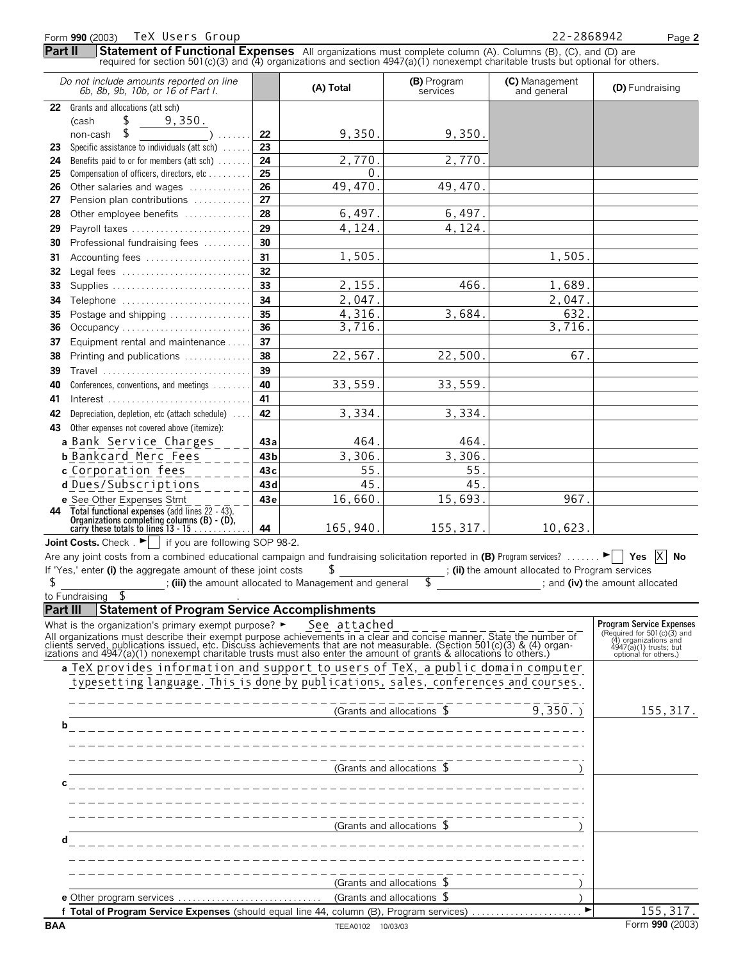|          | Form 990 (2003) TeX Users Group                                                                                                                                                                                                                  |          |                                                      |                                 | 22-2868942                                      | Page 2                                                                                                    |
|----------|--------------------------------------------------------------------------------------------------------------------------------------------------------------------------------------------------------------------------------------------------|----------|------------------------------------------------------|---------------------------------|-------------------------------------------------|-----------------------------------------------------------------------------------------------------------|
| Part II  | Statement of Functional Expenses All organizations must complete column (A). Columns (B), (C), and (D) are<br>required for section 501(c)(3) and (4) organizations and section $4947(a)(1)$ nonexempt charitable trusts but optional for others. |          |                                                      |                                 |                                                 |                                                                                                           |
|          | Do not include amounts reported on line<br>6b, 8b, 9b, 10b, or 16 of Part I.                                                                                                                                                                     |          | (A) Total                                            | (B) Program<br>services         | (C) Management<br>and general                   | (D) Fundraising                                                                                           |
|          | 22 Grants and allocations (att sch)                                                                                                                                                                                                              |          |                                                      |                                 |                                                 |                                                                                                           |
|          | S.<br>9,350.<br>(cash                                                                                                                                                                                                                            |          |                                                      |                                 |                                                 |                                                                                                           |
|          | S<br>non-cash                                                                                                                                                                                                                                    | 22       | 9,350.                                               | 9,350.                          |                                                 |                                                                                                           |
| 23       | Specific assistance to individuals (att sch)                                                                                                                                                                                                     | 23       |                                                      |                                 |                                                 |                                                                                                           |
| 24       | Benefits paid to or for members (att sch)                                                                                                                                                                                                        | 24<br>25 | 2,770.<br>0                                          | 2,770.                          |                                                 |                                                                                                           |
| 25<br>26 | Compensation of officers, directors, etc<br>Other salaries and wages                                                                                                                                                                             | 26       | 49,470.                                              | 49,470.                         |                                                 |                                                                                                           |
| 27       | Pension plan contributions                                                                                                                                                                                                                       | 27       |                                                      |                                 |                                                 |                                                                                                           |
| 28       | Other employee benefits                                                                                                                                                                                                                          | 28       | 6,497.                                               | 6,497.                          |                                                 |                                                                                                           |
| 29       | Payroll taxes                                                                                                                                                                                                                                    | 29       | 4,124.                                               | 4,124.                          |                                                 |                                                                                                           |
| 30       | Professional fundraising fees                                                                                                                                                                                                                    | 30       |                                                      |                                 |                                                 |                                                                                                           |
| 31       | Accounting fees                                                                                                                                                                                                                                  | 31       | 1,505                                                |                                 | 1,505                                           |                                                                                                           |
| 32       | Legal fees                                                                                                                                                                                                                                       | 32       |                                                      |                                 |                                                 |                                                                                                           |
| 33       |                                                                                                                                                                                                                                                  | 33       | 2, 155.                                              | 466                             | 1,689.                                          |                                                                                                           |
| 34       | Telephone                                                                                                                                                                                                                                        | 34       | 2,047.                                               |                                 | 2,047.                                          |                                                                                                           |
| 35       | Postage and shipping                                                                                                                                                                                                                             | 35       | 4,316.                                               | 3,684.                          | 632                                             |                                                                                                           |
| 36       | Occupancy                                                                                                                                                                                                                                        | 36       | 3,716.                                               |                                 | 3,716.                                          |                                                                                                           |
| 37       | Equipment rental and maintenance                                                                                                                                                                                                                 | 37       |                                                      |                                 |                                                 |                                                                                                           |
| 38       | Printing and publications                                                                                                                                                                                                                        | 38       | 22,567.                                              | 22,500.                         | 67.                                             |                                                                                                           |
| 39       | Travel                                                                                                                                                                                                                                           | 39       |                                                      |                                 |                                                 |                                                                                                           |
| 40       | Conferences, conventions, and meetings                                                                                                                                                                                                           | 40       | 33,559.                                              | 33,559.                         |                                                 |                                                                                                           |
| 41       |                                                                                                                                                                                                                                                  | 41       |                                                      |                                 |                                                 |                                                                                                           |
| 42       | Depreciation, depletion, etc (attach schedule)                                                                                                                                                                                                   | 42       | 3,334.                                               | 3,334.                          |                                                 |                                                                                                           |
| 43       | Other expenses not covered above (itemize):                                                                                                                                                                                                      |          |                                                      |                                 |                                                 |                                                                                                           |
|          | a Bank Service Charges                                                                                                                                                                                                                           | 43 a     | 464.                                                 | 464.                            |                                                 |                                                                                                           |
|          | <b>b</b> Bankcard Merc Fees                                                                                                                                                                                                                      | 43 b     | 3,306.                                               | 3,306.                          |                                                 |                                                                                                           |
|          | c Corporation fees                                                                                                                                                                                                                               | 43 с     | 55.                                                  | 55.                             |                                                 |                                                                                                           |
|          | d Dues/Subscriptions                                                                                                                                                                                                                             | 43 d     | 45.                                                  | 45.                             |                                                 |                                                                                                           |
| 44       | e See Other Expenses Stmt                                                                                                                                                                                                                        | 43e      | 16,660.                                              | 15,693.                         | 967.                                            |                                                                                                           |
|          | Total functional expenses (add lines $\frac{22}{43}$ )<br>Organizations completing columns (B) - (D),<br>carry these totals to lines 13 - 15                                                                                                     | 44       | 165, 940.                                            | 155, 317.                       | 10,623.                                         |                                                                                                           |
|          | <b>Joint Costs.</b> Check $\begin{bmatrix} \blacksquare \end{bmatrix}$ if you are following SOP 98-2.                                                                                                                                            |          |                                                      |                                 |                                                 | $\times$                                                                                                  |
|          | Are any joint costs from a combined educational campaign and fundraising solicitation reported in (B) Program services?<br>If 'Yes,' enter (i) the aggregate amount of these joint costs                                                         |          | \$                                                   |                                 | ; (ii) the amount allocated to Program services | No                                                                                                        |
| \$       |                                                                                                                                                                                                                                                  |          | (iii) the amount allocated to Management and general | S                               |                                                 | ; and (iv) the amount allocated                                                                           |
|          | S<br>to Fundraising                                                                                                                                                                                                                              |          |                                                      |                                 |                                                 |                                                                                                           |
| Part III | <b>Statement of Program Service Accomplishments</b>                                                                                                                                                                                              |          |                                                      |                                 |                                                 |                                                                                                           |
|          | What is the organization's primary exempt purpose? ►                                                                                                                                                                                             |          | See attached                                         |                                 |                                                 | <b>Program Service Expenses</b>                                                                           |
|          | All organizations must describe their exempt purpose achievements in a clear and concise manner. State the number of<br>clients served, publications issued, etc. Discuss achievements that are not measurable. (Section 501(c)(3                |          |                                                      |                                 |                                                 | (Required for $501(c)(3)$ and<br>(4) organizations and<br>4947(a)(1) trusts; but<br>optional for others.) |
|          | a TeX provides information and support to users of TeX, a public domain computer                                                                                                                                                                 |          |                                                      |                                 |                                                 |                                                                                                           |
|          | typesetting language. This is done by publications, sales, conferences and courses.                                                                                                                                                              |          |                                                      |                                 |                                                 |                                                                                                           |
|          |                                                                                                                                                                                                                                                  |          |                                                      | (Grants and allocations \$      | $9,350.$ )                                      | 155, 317.                                                                                                 |
| b        |                                                                                                                                                                                                                                                  |          |                                                      |                                 |                                                 |                                                                                                           |
|          |                                                                                                                                                                                                                                                  |          |                                                      |                                 |                                                 |                                                                                                           |
|          |                                                                                                                                                                                                                                                  |          |                                                      |                                 |                                                 |                                                                                                           |
|          |                                                                                                                                                                                                                                                  |          |                                                      | (Grants and allocations \$      |                                                 |                                                                                                           |
| с        |                                                                                                                                                                                                                                                  |          |                                                      |                                 |                                                 |                                                                                                           |
|          |                                                                                                                                                                                                                                                  |          |                                                      |                                 |                                                 |                                                                                                           |
|          |                                                                                                                                                                                                                                                  |          |                                                      | (Grants and allocations $\sqrt$ |                                                 |                                                                                                           |
| d        |                                                                                                                                                                                                                                                  |          |                                                      |                                 |                                                 |                                                                                                           |
|          |                                                                                                                                                                                                                                                  |          |                                                      |                                 |                                                 |                                                                                                           |
|          |                                                                                                                                                                                                                                                  |          |                                                      |                                 |                                                 |                                                                                                           |
|          |                                                                                                                                                                                                                                                  |          |                                                      | (Grants and allocations $\sqrt$ |                                                 |                                                                                                           |
|          | f Total of Program Service Expenses (should equal line 44, column (B), Program services)                                                                                                                                                         |          |                                                      |                                 |                                                 | 155, 317.                                                                                                 |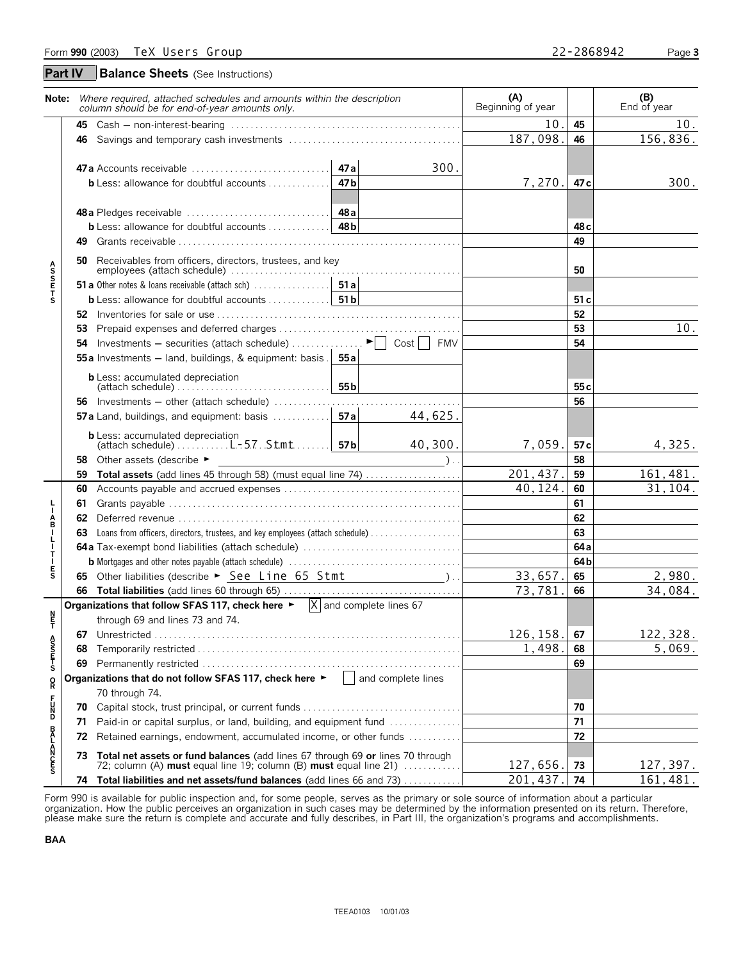**Balance Sheets** (See Instructions) **Part IV**

| Note:                                     |     | Where required, attached schedules and amounts within the description<br>column should be for end-of-year amounts only.                                | (A)<br>Beginning of year |                 | (B)<br>End of year |
|-------------------------------------------|-----|--------------------------------------------------------------------------------------------------------------------------------------------------------|--------------------------|-----------------|--------------------|
|                                           |     |                                                                                                                                                        | 10.                      | 45              | 10.                |
|                                           |     |                                                                                                                                                        | 187,098.                 | 46              | 156,836.           |
|                                           |     | 300.<br>47a Accounts receivable<br>47 a                                                                                                                |                          |                 |                    |
|                                           |     | 47 <sub>b</sub><br><b>b</b> Less: allowance for doubtful accounts $\ldots$                                                                             | 7,270.                   | 47 c            | 300.               |
|                                           |     | 48 <sub>b</sub><br><b>b</b> Less: allowance for doubtful accounts $\ldots \ldots \ldots$                                                               |                          | 48 <sub>c</sub> |                    |
|                                           | 49. |                                                                                                                                                        |                          | 49              |                    |
| A<br>S<br>S<br>E<br>T<br>S                | 50  | Receivables from officers, directors, trustees, and key                                                                                                |                          | 50              |                    |
|                                           |     |                                                                                                                                                        |                          |                 |                    |
|                                           |     |                                                                                                                                                        |                          | 51c             |                    |
|                                           |     |                                                                                                                                                        |                          | 52              |                    |
|                                           | 53  |                                                                                                                                                        |                          | 53              | 10.                |
|                                           |     | <b>54</b> Investments – securities (attach schedule) $\ldots \ldots \ldots \vdash$   Cost   FMV                                                        |                          | 54              |                    |
|                                           |     | 55a Investments - land, buildings, & equipment: basis . 55a                                                                                            |                          |                 |                    |
|                                           |     | <b>b</b> Less: accumulated depreciation<br>55 <sub>b</sub>                                                                                             |                          | 55 <sub>c</sub> |                    |
|                                           |     | 56 Investments - other (attach schedule)                                                                                                               |                          | 56              |                    |
|                                           |     | 44,625.                                                                                                                                                |                          |                 |                    |
|                                           |     | <b>b</b> Less: accumulated depreciation<br>$\left \left(\text{attack} \right) \right $ $\left \left(\text{attack} \right) \right $<br>40,300.          | 7,059.                   | 57 c            | 4,325.             |
|                                           | 58  | Other assets (describe ►<br>$\lambda$ .                                                                                                                |                          | 58              |                    |
|                                           | 59  | Total assets (add lines 45 through 58) (must equal line 74)                                                                                            | 201,437.                 | 59              | 161, 481.          |
|                                           | 60  |                                                                                                                                                        | 40, 124.                 | 60              | 31,104.            |
|                                           | 61  |                                                                                                                                                        |                          | 61              |                    |
|                                           | 62  |                                                                                                                                                        |                          | 62              |                    |
|                                           | 63  |                                                                                                                                                        |                          | 63              |                    |
| <b>L – A B – L – T – E S</b>              |     |                                                                                                                                                        |                          | 64a             |                    |
|                                           |     |                                                                                                                                                        |                          | 64b             |                    |
|                                           |     | 65 Other liabilities (describe > See Line 65 Stmt _______________________________                                                                      | 33,657.                  | 65              | 2,980.             |
|                                           |     |                                                                                                                                                        | 73,781                   | 66              | 34,084.            |
|                                           |     | Organizations that follow SFAS 117, check here $\blacktriangleright$ $\mathsf{X}$ and complete lines 67<br>through 69 and lines 73 and 74.             |                          |                 |                    |
| ŗ                                         |     |                                                                                                                                                        | 126, 158.                | 67              | 122, 328.          |
|                                           | 68  |                                                                                                                                                        | 1,498.                   | 68              | 5,069.             |
| A<br>S<br>T<br>T<br>S                     | 69  |                                                                                                                                                        |                          | 69              |                    |
|                                           |     | Organizations that do not follow SFAS 117, check here $\blacktriangleright$   and complete lines                                                       |                          |                 |                    |
| $\mathop{\mathsf{R}}\limits^{\mathsf{O}}$ |     | 70 through 74.                                                                                                                                         |                          |                 |                    |
| F<br>DN<br>D                              | 70  |                                                                                                                                                        |                          | 70              |                    |
|                                           | 71  | Paid-in or capital surplus, or land, building, and equipment fund                                                                                      |                          | 71<br>72        |                    |
|                                           | 72  | Retained earnings, endowment, accumulated income, or other funds                                                                                       |                          |                 |                    |
| <b>BALANCES</b>                           |     | 73 Total net assets or fund balances (add lines 67 through 69 or lines 70 through<br>72; column (A) must equal line 19; column (B) must equal line 21) | 127,656.                 | 73              | 127,397.           |
|                                           |     | 74 Total liabilities and net assets/fund balances (add lines 66 and 73)                                                                                | 201,437.                 | 74              | 161,481.           |

Form 990 is available for public inspection and, for some people, serves as the primary or sole source of information about a particular organization. How the public perceives an organization in such cases may be determined by the information presented on its return. Therefore,<br>please make sure the return is complete and accurate and fully describes, in Par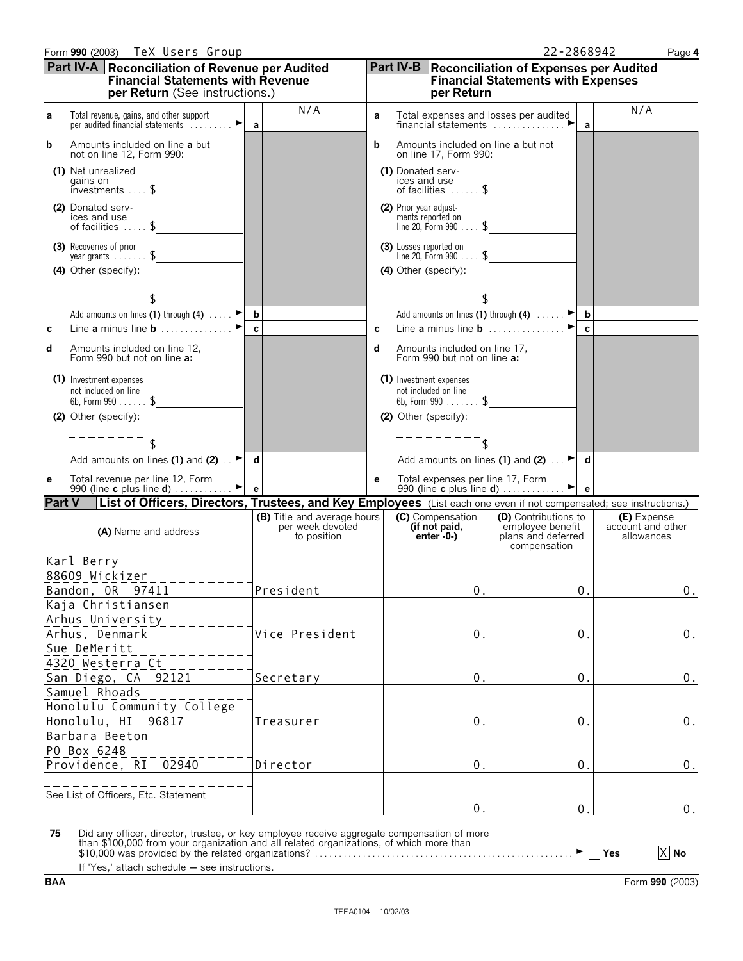|  | ٠ |
|--|---|
|  |   |

|               | Part IV-A Reconciliation of Revenue per Audited<br><b>Financial Statements with Revenue</b><br>per Return (See instructions.) |                                                                |   | <b>Part IV-B</b> Reconciliation of Expenses per Audited<br><b>Financial Statements with Expenses</b><br>per Return |                                                                                |                |                                                |  |  |
|---------------|-------------------------------------------------------------------------------------------------------------------------------|----------------------------------------------------------------|---|--------------------------------------------------------------------------------------------------------------------|--------------------------------------------------------------------------------|----------------|------------------------------------------------|--|--|
| a             | Total revenue, gains, and other support<br>►∣<br>per audited financial statements                                             | N/A<br>a                                                       | a | Total expenses and losses per audited<br>financial statements $\ldots, \ldots, \ldots$                             |                                                                                | a              | N/A                                            |  |  |
| b             | Amounts included on line a but<br>not on line 12, Form 990:                                                                   |                                                                | b | Amounts included on line a but not<br>on line 17, Form 990:                                                        |                                                                                |                |                                                |  |  |
|               | (1) Net unrealized<br>gains on<br>$investments \ldots$ \$                                                                     |                                                                |   | (1) Donated serv-<br>ices and use<br>of facilities $\ldots$ \$                                                     |                                                                                |                |                                                |  |  |
|               | (2) Donated serv-<br>ices and use<br>of facilities  \$                                                                        |                                                                |   | (2) Prior year adjust-<br>ments reported on<br>line 20, Form $990$ \$                                              |                                                                                |                |                                                |  |  |
|               | (3) Recoveries of prior<br>year grants $\ldots$ , $\sqrt{5}$<br>(4) Other (specify):                                          |                                                                |   | (3) Losses reported on<br>line 20, Form $990$ \$<br>(4) Other (specify):                                           |                                                                                |                |                                                |  |  |
|               |                                                                                                                               |                                                                |   |                                                                                                                    |                                                                                |                |                                                |  |  |
|               | Add amounts on lines (1) through (4) $\ldots$ $\blacktriangleright$ <b>b</b>                                                  |                                                                |   | Add amounts on lines (1) through (4) $\ldots$ $\blacktriangleright$ b                                              |                                                                                |                |                                                |  |  |
| С             | Line a minus line $\mathbf b$                                                                                                 | $\mathbf{c}$                                                   | c | Line a minus line $\mathbf{b}$                                                                                     |                                                                                | C              |                                                |  |  |
| d             | Amounts included on line 12,<br>Form 990 but not on line a:                                                                   |                                                                | d | Amounts included on line 17,<br>Form 990 but not on line a:                                                        |                                                                                |                |                                                |  |  |
|               | (1) Investment expenses<br>not included on line<br>6b, Form 990 $\frac{1}{2}$                                                 |                                                                |   | (1) Investment expenses<br>not included on line<br>6b, Form $990$ \$                                               |                                                                                |                |                                                |  |  |
|               | (2) Other (specify):                                                                                                          |                                                                |   | (2) Other (specify):                                                                                               |                                                                                |                |                                                |  |  |
|               |                                                                                                                               |                                                                |   |                                                                                                                    |                                                                                |                |                                                |  |  |
|               | Add amounts on lines (1) and (2) $\therefore$ d                                                                               |                                                                |   | Add amounts on lines (1) and (2) $\ldots$ $\blacktriangleright$ d                                                  |                                                                                |                |                                                |  |  |
| е             | Total revenue per line 12, Form<br>990 (line c plus line d) $\ldots$                                                          | e                                                              | e | Total expenses per line 17, Form<br>990 (line c plus line d) $\ldots$ $\blacksquare$ e                             |                                                                                |                |                                                |  |  |
| <b>Part V</b> | List of Officers, Directors, Trustees, and Key Employees (List each one even if not compensated; see instructions.)           |                                                                |   |                                                                                                                    |                                                                                |                |                                                |  |  |
|               | (A) Name and address                                                                                                          | (B) Title and average hours<br>per week devoted<br>to position |   | (C) Compensation<br>(if not paid,<br>$enter - 0 - )$                                                               | (D) Contributions to<br>employee benefit<br>plans and deferred<br>compensation |                | (E) Expense<br>account and other<br>allowances |  |  |
|               | Karl Berry_______________                                                                                                     |                                                                |   |                                                                                                                    |                                                                                |                |                                                |  |  |
|               | 88609 Wickizer___________                                                                                                     |                                                                |   |                                                                                                                    |                                                                                |                |                                                |  |  |
|               | Bandon, OR 97411<br>Kaja Christiansen                                                                                         | President                                                      |   | 0.                                                                                                                 |                                                                                | $0$ .          | 0.                                             |  |  |
|               | Arhus University                                                                                                              |                                                                |   |                                                                                                                    |                                                                                |                |                                                |  |  |
|               | Arhus, Denmark                                                                                                                | Vice President                                                 |   | 0.                                                                                                                 |                                                                                | $0$ .          | 0.                                             |  |  |
|               | Sue DeMeritt<br>4320 Westerra Ct                                                                                              |                                                                |   |                                                                                                                    |                                                                                |                |                                                |  |  |
|               | San Diego, CA<br>92121                                                                                                        | Secretary                                                      |   | 0.                                                                                                                 |                                                                                | 0.             | 0.                                             |  |  |
|               | Samuel Rhoads                                                                                                                 |                                                                |   |                                                                                                                    |                                                                                |                |                                                |  |  |
|               | Honolulu Community College                                                                                                    |                                                                |   |                                                                                                                    |                                                                                |                |                                                |  |  |
|               | Honolulu, HI<br>96817<br>Barbara Beeton                                                                                       | Treasurer                                                      |   | 0.                                                                                                                 |                                                                                | 0.             | 0.                                             |  |  |
|               | P0 Box 6248                                                                                                                   |                                                                |   |                                                                                                                    |                                                                                |                |                                                |  |  |
|               | 02940<br>Providence, RI                                                                                                       | Director                                                       |   | 0.                                                                                                                 |                                                                                | 0.             | 0.                                             |  |  |
|               | See List of Officers, Etc. Statement                                                                                          |                                                                |   |                                                                                                                    |                                                                                |                |                                                |  |  |
|               |                                                                                                                               |                                                                |   | $\mathbf{0}$                                                                                                       |                                                                                | $\mathbf{0}$ . | 0.                                             |  |  |
| 75            | Did any officer, director, trustee, or key employee receive aggregate compensation of more                                    |                                                                |   |                                                                                                                    |                                                                                |                |                                                |  |  |

75 Did any officer, director, trustee, or key employee receive aggregate compensation of more<br>than \$100,000 from your organization and all related organizations, of which more than<br>\$10,000 was provided by the related orga

If 'Yes,' attach schedule  $-$  see instructions.

X No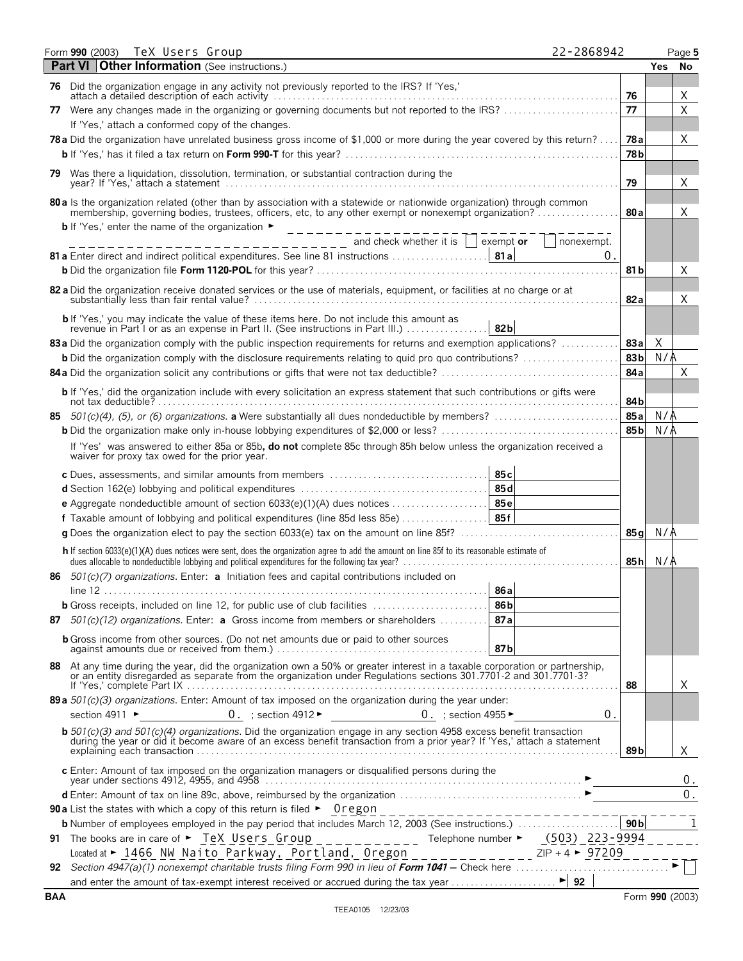| Form 990 (2003) TeX Users Group                                                                                                            |  |  |  |  |                 | 22-2868942                                                                                                                                                                                                                                                                                                                                                                                                    |                 |            | Page 5       |
|--------------------------------------------------------------------------------------------------------------------------------------------|--|--|--|--|-----------------|---------------------------------------------------------------------------------------------------------------------------------------------------------------------------------------------------------------------------------------------------------------------------------------------------------------------------------------------------------------------------------------------------------------|-----------------|------------|--------------|
| Part VI Other Information (See instructions.)                                                                                              |  |  |  |  |                 |                                                                                                                                                                                                                                                                                                                                                                                                               |                 | <b>Yes</b> | - No         |
| 76 Did the organization engage in any activity not previously reported to the IRS? If 'Yes,'                                               |  |  |  |  |                 |                                                                                                                                                                                                                                                                                                                                                                                                               |                 |            |              |
|                                                                                                                                            |  |  |  |  |                 |                                                                                                                                                                                                                                                                                                                                                                                                               | 76              |            | X            |
|                                                                                                                                            |  |  |  |  |                 | 77 Were any changes made in the organizing or governing documents but not reported to the IRS?                                                                                                                                                                                                                                                                                                                | 77              |            | $\sf X$      |
| If 'Yes,' attach a conformed copy of the changes.                                                                                          |  |  |  |  |                 |                                                                                                                                                                                                                                                                                                                                                                                                               |                 |            |              |
|                                                                                                                                            |  |  |  |  |                 | 78a Did the organization have unrelated business gross income of \$1,000 or more during the year covered by this return?                                                                                                                                                                                                                                                                                      | 78 a            |            | Χ            |
|                                                                                                                                            |  |  |  |  |                 |                                                                                                                                                                                                                                                                                                                                                                                                               | 78 <sub>b</sub> |            |              |
| 79 Was there a liquidation, dissolution, termination, or substantial contraction during the                                                |  |  |  |  |                 |                                                                                                                                                                                                                                                                                                                                                                                                               |                 |            |              |
|                                                                                                                                            |  |  |  |  |                 |                                                                                                                                                                                                                                                                                                                                                                                                               | 79              |            | Χ            |
| 80 a Is the organization related (other than by association with a statewide or nationwide organization) through common                    |  |  |  |  |                 | membership, governing bodies, trustees, officers, etc, to any other exempt or nonexempt organization?                                                                                                                                                                                                                                                                                                         | 80a             |            | X            |
| <b>b</b> If 'Yes,' enter the name of the organization $\bullet$ ____________                                                               |  |  |  |  |                 |                                                                                                                                                                                                                                                                                                                                                                                                               |                 |            |              |
|                                                                                                                                            |  |  |  |  |                 | $\frac{1}{1}$ nd check whether it is $\frac{1}{1}$ exempt or $\frac{1}{1}$ nonexempt.                                                                                                                                                                                                                                                                                                                         |                 |            |              |
|                                                                                                                                            |  |  |  |  |                 | $\Omega$ .                                                                                                                                                                                                                                                                                                                                                                                                    |                 |            |              |
|                                                                                                                                            |  |  |  |  |                 |                                                                                                                                                                                                                                                                                                                                                                                                               | 81 b            |            | Χ            |
| 82 a Did the organization receive donated services or the use of materials, equipment, or facilities at no charge or at                    |  |  |  |  |                 |                                                                                                                                                                                                                                                                                                                                                                                                               | 82a             |            | X            |
| <b>b</b> If 'Yes,' you may indicate the value of these items here. Do not include this amount as                                           |  |  |  |  |                 |                                                                                                                                                                                                                                                                                                                                                                                                               |                 |            |              |
| revenue in Part I or as an expense in Part II. (See instructions in Part III.)  82b                                                        |  |  |  |  |                 |                                                                                                                                                                                                                                                                                                                                                                                                               |                 |            |              |
|                                                                                                                                            |  |  |  |  |                 | 83a Did the organization comply with the public inspection requirements for returns and exemption applications?<br><b>b</b> Did the organization comply with the disclosure requirements relating to quid pro quo contributions?                                                                                                                                                                              | 83a<br>83b      | X<br>N/A   |              |
|                                                                                                                                            |  |  |  |  |                 |                                                                                                                                                                                                                                                                                                                                                                                                               | 84a             |            | $\times$     |
|                                                                                                                                            |  |  |  |  |                 |                                                                                                                                                                                                                                                                                                                                                                                                               |                 |            |              |
|                                                                                                                                            |  |  |  |  |                 | b If 'Yes,' did the organization include with every solicitation an express statement that such contributions or gifts were                                                                                                                                                                                                                                                                                   | 84b             |            |              |
|                                                                                                                                            |  |  |  |  |                 |                                                                                                                                                                                                                                                                                                                                                                                                               | 85a             | N/A        |              |
|                                                                                                                                            |  |  |  |  |                 |                                                                                                                                                                                                                                                                                                                                                                                                               | 85b             | N/A        |              |
|                                                                                                                                            |  |  |  |  |                 | If 'Yes' was answered to either 85a or 85b, do not complete 85c through 85h below unless the organization received a                                                                                                                                                                                                                                                                                          |                 |            |              |
| waiver for proxy tax owed for the prior year.                                                                                              |  |  |  |  |                 |                                                                                                                                                                                                                                                                                                                                                                                                               |                 |            |              |
|                                                                                                                                            |  |  |  |  |                 |                                                                                                                                                                                                                                                                                                                                                                                                               |                 |            |              |
|                                                                                                                                            |  |  |  |  |                 |                                                                                                                                                                                                                                                                                                                                                                                                               |                 |            |              |
| e Aggregate nondeductible amount of section 6033(e)(1)(A) dues notices  85e                                                                |  |  |  |  |                 |                                                                                                                                                                                                                                                                                                                                                                                                               |                 |            |              |
|                                                                                                                                            |  |  |  |  |                 |                                                                                                                                                                                                                                                                                                                                                                                                               |                 |            |              |
|                                                                                                                                            |  |  |  |  |                 |                                                                                                                                                                                                                                                                                                                                                                                                               | 85 a l          | N/A        |              |
| h If section 6033(e)(1)(A) dues notices were sent, does the organization agree to add the amount on line 85f to its reasonable estimate of |  |  |  |  |                 |                                                                                                                                                                                                                                                                                                                                                                                                               |                 | 85h $N/A$  |              |
| 86 501(c)(7) organizations. Enter: a Initiation fees and capital contributions included on                                                 |  |  |  |  |                 |                                                                                                                                                                                                                                                                                                                                                                                                               |                 |            |              |
|                                                                                                                                            |  |  |  |  | 86a             |                                                                                                                                                                                                                                                                                                                                                                                                               |                 |            |              |
| <b>b</b> Gross receipts, included on line 12, for public use of club facilities                                                            |  |  |  |  | 86 <sub>b</sub> |                                                                                                                                                                                                                                                                                                                                                                                                               |                 |            |              |
| 87 $501(c)(12)$ organizations. Enter: a Gross income from members or shareholders                                                          |  |  |  |  | 87a             |                                                                                                                                                                                                                                                                                                                                                                                                               |                 |            |              |
| <b>b</b> Gross income from other sources. (Do not net amounts due or paid to other sources                                                 |  |  |  |  | 87b             |                                                                                                                                                                                                                                                                                                                                                                                                               |                 |            |              |
|                                                                                                                                            |  |  |  |  |                 |                                                                                                                                                                                                                                                                                                                                                                                                               |                 |            |              |
|                                                                                                                                            |  |  |  |  |                 | 88 At any time during the year, did the organization own a 50% or greater interest in a taxable corporation or partnership, or an entity disregarded as separate from the organization under Regulations sections 301.7701-2 a                                                                                                                                                                                | 88              |            | X            |
| 89 a $501(c)(3)$ organizations. Enter: Amount of tax imposed on the organization during the year under:                                    |  |  |  |  |                 |                                                                                                                                                                                                                                                                                                                                                                                                               |                 |            |              |
| section 4911 $\blacktriangleright$ 0. ; section 4912 $\blacktriangleright$ 0. ; section 4955 $\blacktriangleright$                         |  |  |  |  |                 | 0.                                                                                                                                                                                                                                                                                                                                                                                                            |                 |            |              |
|                                                                                                                                            |  |  |  |  |                 | <b>b</b> 501(c)(3) and 501(c)(4) organizations. Did the organization engage in any section 4958 excess benefit transaction during the year or did it become aware of an excess benefit transaction from a prior year? If 'Yes,' att                                                                                                                                                                           | 89b             |            | X            |
| c Enter: Amount of tax imposed on the organization managers or disqualified persons during the                                             |  |  |  |  |                 |                                                                                                                                                                                                                                                                                                                                                                                                               |                 |            | 0.           |
|                                                                                                                                            |  |  |  |  |                 |                                                                                                                                                                                                                                                                                                                                                                                                               |                 |            | $0$ .        |
|                                                                                                                                            |  |  |  |  |                 |                                                                                                                                                                                                                                                                                                                                                                                                               |                 |            |              |
|                                                                                                                                            |  |  |  |  |                 |                                                                                                                                                                                                                                                                                                                                                                                                               |                 |            | $\mathbf{1}$ |
|                                                                                                                                            |  |  |  |  |                 | 91 The books are in care of $\triangleright$ $\frac{\text{TeV}}{\text{V}}$ $\frac{\text{V}}{\text{V}}$ $\frac{\text{V}}{\text{V}}$ $\frac{\text{V}}{\text{V}}$ $\frac{\text{V}}{\text{V}}$ $\frac{\text{V}}{\text{V}}$ $\frac{\text{V}}{\text{V}}$ $\frac{\text{V}}{\text{V}}$ $\frac{\text{V}}{\text{V}}$ $\frac{\text{V}}{\text{V}}$ $\frac{\text{V}}{\text{V}}$ $\frac{\text{V}}{\text{V}}$ $\frac{\text{$ |                 |            |              |
|                                                                                                                                            |  |  |  |  |                 | Located at $\triangleright$ 1466 NW Naito Parkway, Portland, Oregon ____________ ZIP +4 $\triangleright$ 97209                                                                                                                                                                                                                                                                                                |                 |            |              |
|                                                                                                                                            |  |  |  |  |                 |                                                                                                                                                                                                                                                                                                                                                                                                               |                 |            |              |
|                                                                                                                                            |  |  |  |  |                 |                                                                                                                                                                                                                                                                                                                                                                                                               |                 |            |              |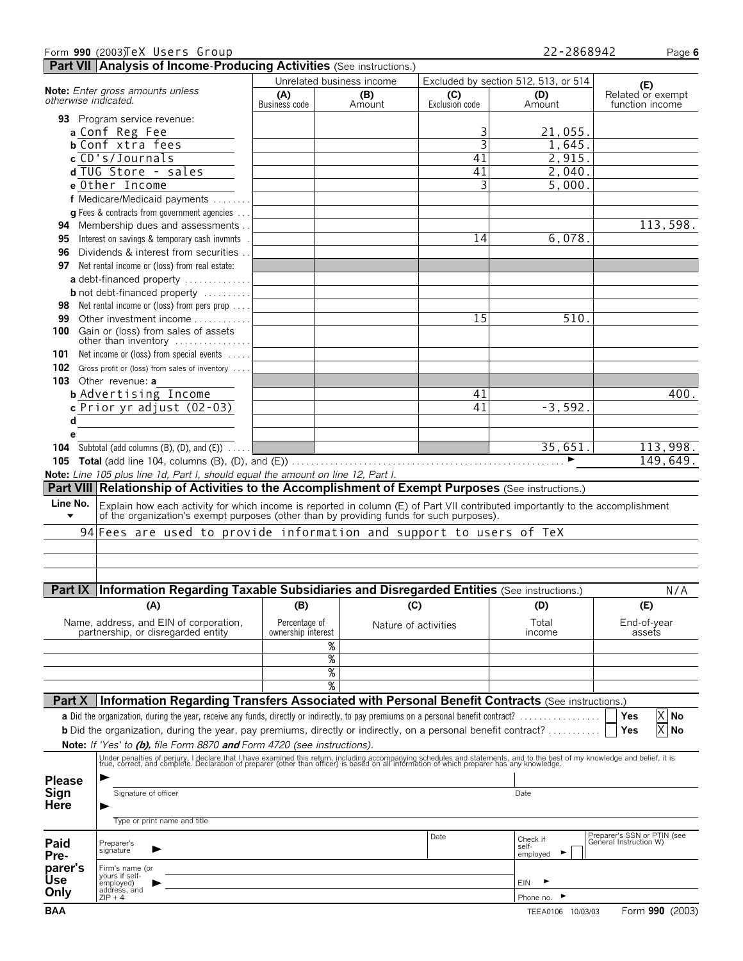|                      | Form 990 (2003)TeX Users Group                                                                                                                                                                                                    |                    |                           |                | 22-2868942                           | Page 6                                                |
|----------------------|-----------------------------------------------------------------------------------------------------------------------------------------------------------------------------------------------------------------------------------|--------------------|---------------------------|----------------|--------------------------------------|-------------------------------------------------------|
|                      | Part VII Analysis of Income-Producing Activities (See instructions.)                                                                                                                                                              |                    |                           |                |                                      |                                                       |
|                      |                                                                                                                                                                                                                                   |                    | Unrelated business income |                | Excluded by section 512, 513, or 514 |                                                       |
|                      | Note: Enter gross amounts unless                                                                                                                                                                                                  | (A)                | (B)                       | (C)            | (D)                                  | (E)<br>Related or exempt                              |
|                      | otherwise indicated.                                                                                                                                                                                                              | Business code      | Amount                    | Exclusion code | Amount                               | function income                                       |
|                      | 93 Program service revenue:                                                                                                                                                                                                       |                    |                           |                |                                      |                                                       |
|                      | a Conf Reg Fee                                                                                                                                                                                                                    |                    |                           | 3              | 21,055.                              |                                                       |
|                      | <b>b</b> Conf xtra fees                                                                                                                                                                                                           |                    |                           | 3              | 1,645.                               |                                                       |
|                      | c CD's/Journals                                                                                                                                                                                                                   |                    |                           | 41             | 2,915.                               |                                                       |
|                      | d TUG Store - sales                                                                                                                                                                                                               |                    |                           | 41             | 2,040.                               |                                                       |
|                      | e Other Income                                                                                                                                                                                                                    |                    |                           | 3              | 5,000.                               |                                                       |
|                      |                                                                                                                                                                                                                                   |                    |                           |                |                                      |                                                       |
|                      | f Medicare/Medicaid payments                                                                                                                                                                                                      |                    |                           |                |                                      |                                                       |
|                      | <b>q</b> Fees & contracts from government agencies                                                                                                                                                                                |                    |                           |                |                                      |                                                       |
|                      | 94 Membership dues and assessments.                                                                                                                                                                                               |                    |                           |                |                                      | 113,598.                                              |
| 95                   | Interest on savings & temporary cash invmnts                                                                                                                                                                                      |                    |                           | 14             | 6,078.                               |                                                       |
| 96                   | Dividends & interest from securities.                                                                                                                                                                                             |                    |                           |                |                                      |                                                       |
| 97                   | Net rental income or (loss) from real estate:                                                                                                                                                                                     |                    |                           |                |                                      |                                                       |
|                      | a debt-financed property $\dots\dots\dots\dots$                                                                                                                                                                                   |                    |                           |                |                                      |                                                       |
|                      | <b>b</b> not debt-financed property                                                                                                                                                                                               |                    |                           |                |                                      |                                                       |
| 98.                  | Net rental income or (loss) from pers prop                                                                                                                                                                                        |                    |                           |                |                                      |                                                       |
| 99                   | Other investment income                                                                                                                                                                                                           |                    |                           | 15             | 510.                                 |                                                       |
| 100                  | Gain or (loss) from sales of assets                                                                                                                                                                                               |                    |                           |                |                                      |                                                       |
|                      | other than inventory                                                                                                                                                                                                              |                    |                           |                |                                      |                                                       |
| 101                  | Net income or (loss) from special events                                                                                                                                                                                          |                    |                           |                |                                      |                                                       |
|                      | 102 Gross profit or (loss) from sales of inventory                                                                                                                                                                                |                    |                           |                |                                      |                                                       |
|                      | 103 Other revenue: a                                                                                                                                                                                                              |                    |                           |                |                                      |                                                       |
|                      |                                                                                                                                                                                                                                   |                    |                           | 41             |                                      | 400.                                                  |
|                      | <b>b</b> Advertising Income                                                                                                                                                                                                       |                    |                           | 41             |                                      |                                                       |
|                      | $c$ Prior yr adjust $(02-03)$                                                                                                                                                                                                     |                    |                           |                | $-3,592.$                            |                                                       |
| d                    |                                                                                                                                                                                                                                   |                    |                           |                |                                      |                                                       |
| е                    |                                                                                                                                                                                                                                   |                    |                           |                |                                      |                                                       |
|                      | <b>104</b> Subtotal (add columns $(B)$ , $(D)$ , and $(E)$ ) $\ldots$                                                                                                                                                             |                    |                           |                | 35,651.                              | 113,998.                                              |
|                      | <b>105</b> Total (add line 104, columns (B), (D), and (E)) $\ldots$ $\ldots$ $\ldots$ $\ldots$ $\ldots$ $\ldots$ $\ldots$ $\ldots$                                                                                                |                    |                           |                | ►                                    | 149,649.                                              |
|                      | Note: Line 105 plus line 1d, Part I, should equal the amount on line 12, Part I.                                                                                                                                                  |                    |                           |                |                                      |                                                       |
|                      | Part VIII Relationship of Activities to the Accomplishment of Exempt Purposes (See instructions.)                                                                                                                                 |                    |                           |                |                                      |                                                       |
| Line No.             | Explain how each activity for which income is reported in column (E) of Part VII contributed importantly to the accomplishment                                                                                                    |                    |                           |                |                                      |                                                       |
| $\blacktriangledown$ | of the organization's exempt purposes (other than by providing funds for such purposes).                                                                                                                                          |                    |                           |                |                                      |                                                       |
|                      | 94 Fees are used to provide information and support to users of TeX                                                                                                                                                               |                    |                           |                |                                      |                                                       |
|                      |                                                                                                                                                                                                                                   |                    |                           |                |                                      |                                                       |
|                      |                                                                                                                                                                                                                                   |                    |                           |                |                                      |                                                       |
|                      |                                                                                                                                                                                                                                   |                    |                           |                |                                      |                                                       |
|                      |                                                                                                                                                                                                                                   |                    |                           |                |                                      |                                                       |
|                      |                                                                                                                                                                                                                                   |                    |                           |                |                                      |                                                       |
|                      | Part IX Information Regarding Taxable Subsidiaries and Disregarded Entities (See instructions.)                                                                                                                                   |                    |                           |                |                                      | N/A                                                   |
|                      |                                                                                                                                                                                                                                   |                    |                           |                |                                      |                                                       |
|                      | (A)                                                                                                                                                                                                                               | (B)                | (C)                       |                | (D)                                  | (E)                                                   |
|                      | Name, address, and EIN of corporation,                                                                                                                                                                                            | Percentage of      | Nature of activities      |                | Total                                | End-of-year                                           |
|                      | partnership, or disregarded entity                                                                                                                                                                                                | ownership interest |                           |                | income                               | assets                                                |
|                      |                                                                                                                                                                                                                                   |                    | %                         |                |                                      |                                                       |
|                      |                                                                                                                                                                                                                                   |                    | $\overline{\%}$           |                |                                      |                                                       |
|                      |                                                                                                                                                                                                                                   |                    | $\overline{\%}$           |                |                                      |                                                       |
|                      |                                                                                                                                                                                                                                   |                    | %                         |                |                                      |                                                       |
| Part X               | Information Regarding Transfers Associated with Personal Benefit Contracts (See instructions.)                                                                                                                                    |                    |                           |                |                                      |                                                       |
|                      |                                                                                                                                                                                                                                   |                    |                           |                |                                      |                                                       |
|                      | a Did the organization, during the year, receive any funds, directly or indirectly, to pay premiums on a personal benefit contract?                                                                                               |                    |                           |                |                                      | X No<br>Yes                                           |
|                      | <b>b</b> Did the organization, during the year, pay premiums, directly or indirectly, on a personal benefit contract?                                                                                                             |                    |                           |                |                                      | X No<br>Yes                                           |
|                      | Note: If 'Yes' to (b), file Form 8870 and Form 4720 (see instructions).                                                                                                                                                           |                    |                           |                |                                      |                                                       |
|                      |                                                                                                                                                                                                                                   |                    |                           |                |                                      |                                                       |
|                      | Under penalties of perjury, I declare that I have examined this return, including accompanying schedules and statements, and to the best of my knowledge and belief, it is<br>true, correct, and complete. Declaration of prepare |                    |                           |                |                                      |                                                       |
| <b>Please</b>        |                                                                                                                                                                                                                                   |                    |                           |                |                                      |                                                       |
| Sign                 | Signature of officer                                                                                                                                                                                                              |                    |                           |                | Date                                 |                                                       |
| <b>Here</b>          |                                                                                                                                                                                                                                   |                    |                           |                |                                      |                                                       |
|                      | Type or print name and title                                                                                                                                                                                                      |                    |                           |                |                                      |                                                       |
|                      |                                                                                                                                                                                                                                   |                    |                           | Date           |                                      |                                                       |
| Paid                 | Preparer's<br>signature                                                                                                                                                                                                           |                    |                           |                | Check if<br>self-                    | Preparer's SSN or PTIN (see<br>General Instruction W) |
| Pre-                 |                                                                                                                                                                                                                                   |                    |                           |                | ▸<br>employed                        |                                                       |
| parer's              | Firm's name (or<br>yours if self-                                                                                                                                                                                                 |                    |                           |                |                                      |                                                       |
| <b>Use</b>           | employed)                                                                                                                                                                                                                         |                    |                           |                | <b>EIN</b>                           |                                                       |
| Only                 | address, and<br>$ZIP + 4$                                                                                                                                                                                                         |                    |                           |                | Phone no.                            |                                                       |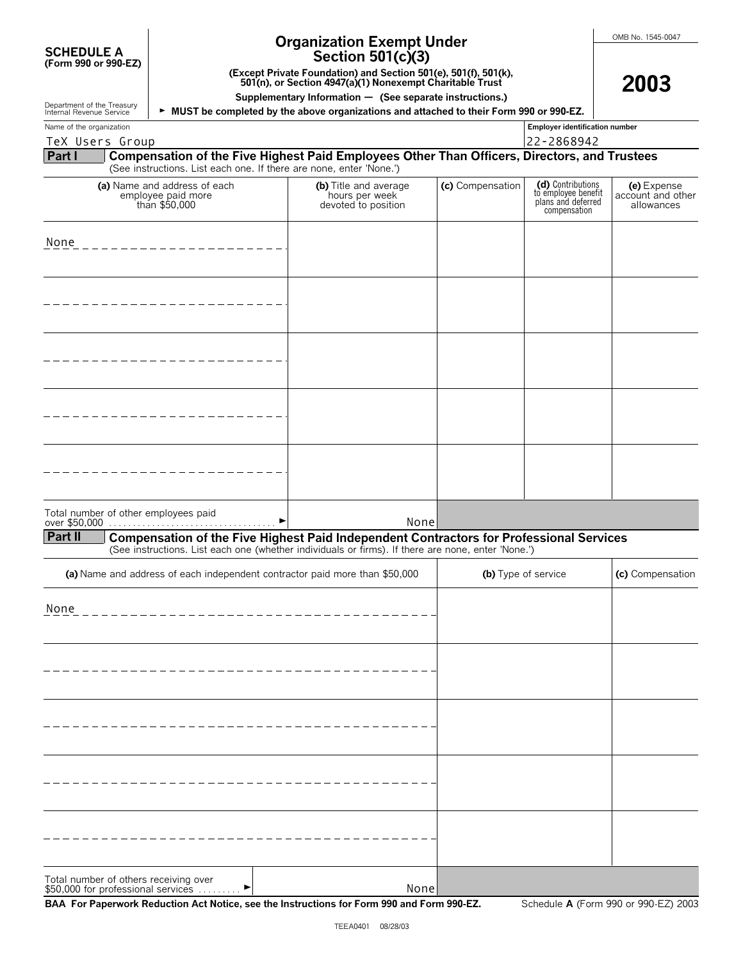| <b>SCHEDULE A</b>    |  |  |
|----------------------|--|--|
| (Form 990 or 990-EZ) |  |  |

Department of the Treasury

# **Organization Exempt Under**

**2003**

**(Except Private Foundation) and Section 501(e), 501(f), 501(k), 501(n), or Section 4947(a)(1) Nonexempt Charitable Trust**

**Supplementary Information** ' **(See separate instructions.)**

| Internal Revenue Service                               |                                                                             | ► MUST be completed by the above organizations and attached to their Form 990 or 990-EZ.           |                  |                                                                                |                                                |
|--------------------------------------------------------|-----------------------------------------------------------------------------|----------------------------------------------------------------------------------------------------|------------------|--------------------------------------------------------------------------------|------------------------------------------------|
| Name of the organization                               |                                                                             |                                                                                                    |                  | Employer identification number                                                 |                                                |
| TeX Users Group                                        |                                                                             |                                                                                                    |                  | 22-2868942                                                                     |                                                |
| Part I                                                 | (See instructions. List each one. If there are none, enter 'None.')         | Compensation of the Five Highest Paid Employees Other Than Officers, Directors, and Trustees       |                  |                                                                                |                                                |
|                                                        | (a) Name and address of each<br>employee paid more<br>than \$50,000         | (b) Title and average<br>hours per week<br>devoted to position                                     | (c) Compensation | (d) Contributions<br>to employee benefit<br>plans and deferred<br>compensation | (e) Expense<br>account and other<br>allowances |
| None                                                   |                                                                             |                                                                                                    |                  |                                                                                |                                                |
|                                                        |                                                                             |                                                                                                    |                  |                                                                                |                                                |
|                                                        |                                                                             |                                                                                                    |                  |                                                                                |                                                |
|                                                        |                                                                             |                                                                                                    |                  |                                                                                |                                                |
|                                                        |                                                                             |                                                                                                    |                  |                                                                                |                                                |
| Total number of other employees paid<br><b>Part II</b> |                                                                             | None<br>Compensation of the Five Highest Paid Independent Contractors for Professional Services    |                  |                                                                                |                                                |
|                                                        |                                                                             | (See instructions. List each one (whether individuals or firms). If there are none, enter 'None.') |                  |                                                                                |                                                |
|                                                        | (a) Name and address of each independent contractor paid more than \$50,000 |                                                                                                    |                  | (b) Type of service                                                            | (c) Compensation                               |
| None                                                   |                                                                             |                                                                                                    |                  |                                                                                |                                                |
|                                                        |                                                                             |                                                                                                    |                  |                                                                                |                                                |
|                                                        |                                                                             |                                                                                                    |                  |                                                                                |                                                |
|                                                        |                                                                             |                                                                                                    |                  |                                                                                |                                                |

Total number of others receiving over<br>\$50,000 for professional services . . . . . . . . . ▶

None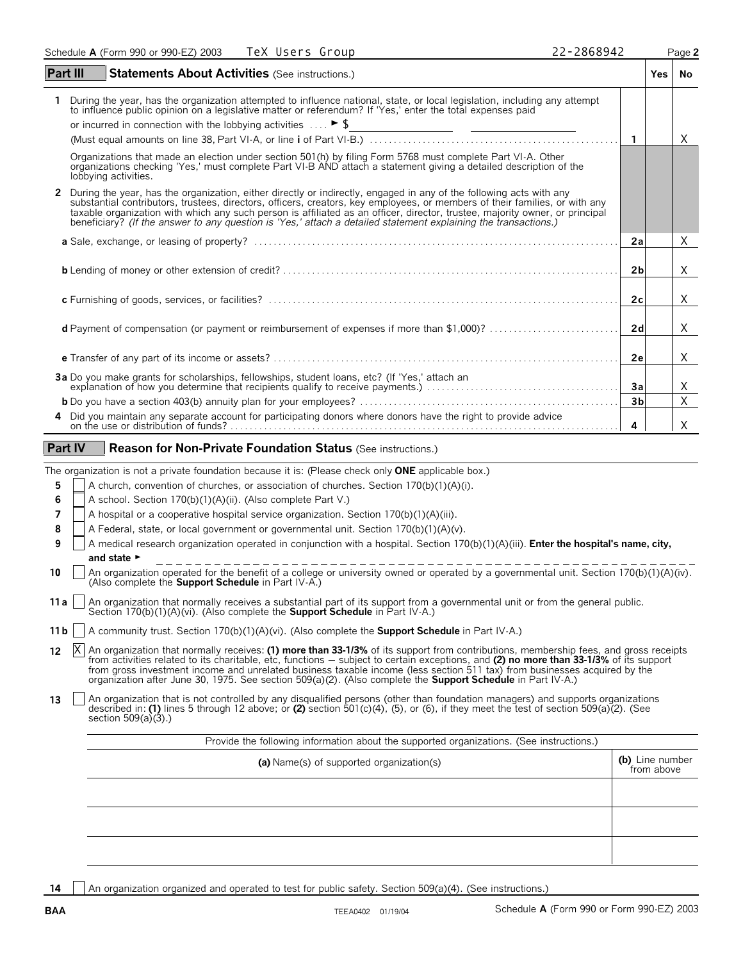| Part III<br><b>Statements About Activities (See instructions.)</b>                                                                                                                                                                                                                                                                                                                                                                                                                                      |                | Yes | No. |
|---------------------------------------------------------------------------------------------------------------------------------------------------------------------------------------------------------------------------------------------------------------------------------------------------------------------------------------------------------------------------------------------------------------------------------------------------------------------------------------------------------|----------------|-----|-----|
| During the year, has the organization attempted to influence national, state, or local legislation, including any attempt<br>to influence public opinion on a legislative matter or referendum? If 'Yes,' enter the total expenses paid<br>or incurred in connection with the lobbying activities $\ldots$ $\blacktriangleright$ \$                                                                                                                                                                     |                |     | X   |
| Organizations that made an election under section 501(h) by filing Form 5768 must complete Part VI-A. Other organizations checking 'Yes,' must complete Part VI-B AND attach a statement giving a detailed description of the<br>lobbying activities.                                                                                                                                                                                                                                                   |                |     |     |
| 2 During the year, has the organization, either directly or indirectly, engaged in any of the following acts with any<br>substantial contributors, trustees, directors, officers, creators, key employees, or members of their families, or with any<br>taxable organization with which any such person is affiliated as an officer, director, trustee, majority owner, or principal<br>beneficiary? (If the answer to any question is 'Yes,' attach a detailed statement explaining the transactions.) |                |     |     |
|                                                                                                                                                                                                                                                                                                                                                                                                                                                                                                         | 2a             |     | X   |
|                                                                                                                                                                                                                                                                                                                                                                                                                                                                                                         | 2 <sub>b</sub> |     | X   |
|                                                                                                                                                                                                                                                                                                                                                                                                                                                                                                         | 2c             |     | x   |
|                                                                                                                                                                                                                                                                                                                                                                                                                                                                                                         |                |     |     |

| 2d |  |
|----|--|
| 2e |  |
|    |  |
|    |  |
|    |  |

#### **Part IV | Reason for Non-Private Foundation Status (See instructions.)**

The organization is not a private foundation because it is: (Please check only **ONE** applicable box.)

- **5** A church, convention of churches, or association of churches. Section 170(b)(1)(A)(i).
- **6** A school. Section 170(b)(1)(A)(ii). (Also complete Part V.)
- **7** A hospital or a cooperative hospital service organization. Section 170(b)(1)(A)(iii).
- 8 A Federal, state, or local government or governmental unit. Section 170(b)(1)(A)(v).
- **9** A medical research organization operated in conjunction with a hospital. Section 170(b)(1)(A)(iii). **Enter the hospital's name, city,** and state  $\blacktriangleright$
- **10** An organization operated for the benefit of a college or university owned or operated by a governmental unit. Section 170(b)(1)(A)(iv). (Also complete the **Support Schedule** in Part IV-A.)
- **11a** An organization that normally receives a substantial part of its support from a governmental unit or from the general public. Section 170(b)(1)(A)(vi). (Also complete the **Support Schedule** in Part IV-A.)

|  |  |  | 11b   A community trust. Section 170(b)(1)(A)(vi). (Also complete the <b>Support Schedule</b> in Part IV-A.) |  |
|--|--|--|--------------------------------------------------------------------------------------------------------------|--|
|  |  |  |                                                                                                              |  |

- 12 |X| An organization that normally receives: (1) more than 33-1/3% of its support from contributions, membership fees, and gross receipts<br>from activities related to its charitable, etc, functions subject to certain exc from gross investment income and unrelated business taxable income (less section 511 tax) from businesses acquired by the organization after June 30, 1975. See section 509(a)(2). (Also complete the **Support Schedule** in Part IV-A.) X
- An organization that is not controlled by any disqualified persons (other than foundation managers) and supports organizations described in: (1) lines 5 through 12 above; or (2) section 501(c)(4), (5), or (6), if they meet section  $509(a)(3)$ .)

| Provide the following information about the supported organizations. (See instructions.) |                               |
|------------------------------------------------------------------------------------------|-------------------------------|
| (a) Name(s) of supported organization(s)                                                 | (b) Line number<br>from above |
|                                                                                          |                               |
|                                                                                          |                               |
|                                                                                          |                               |

14 | An organization organized and operated to test for public safety. Section 509(a)(4). (See instructions.)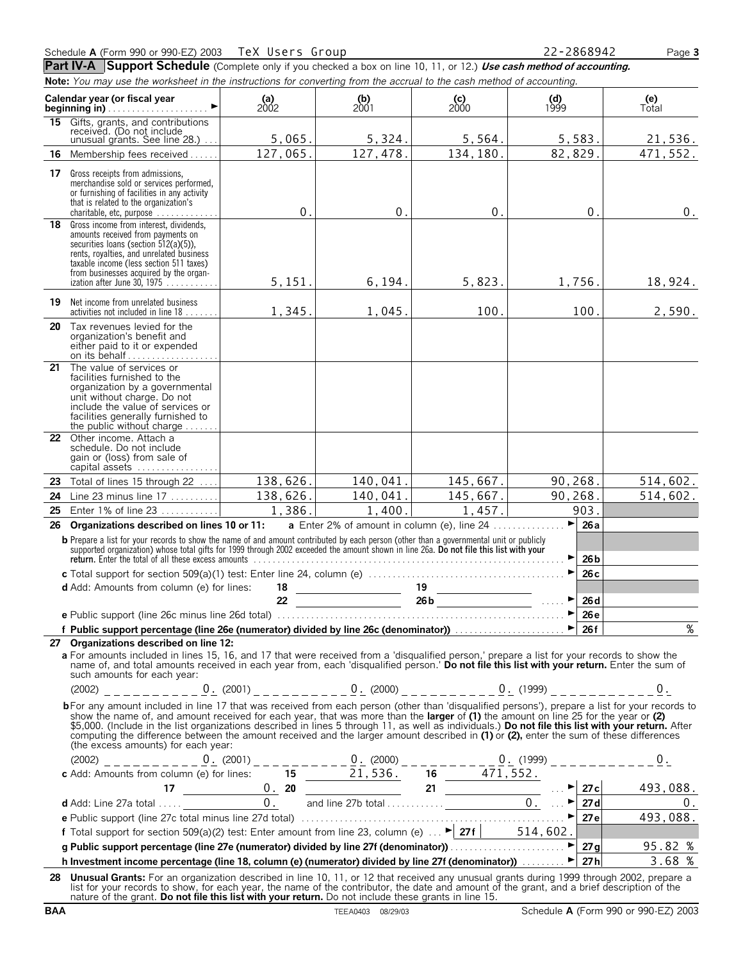Part IV-A Support Schedule (Complete only if you checked a box on line 10, 11, or 12.) Use cash method of accounting. **Note:** *You may use the worksheet in the instructions for converting from the accrual to the cash method of accounting.*

|    | now. Toa may asc the worksheet in the instructions for converting nomittie accruar to the cash method or accounting.                                                                                                                                                                                                                                                                                                                                                                                                                                                                                                          |               |                                            |                                                      |                                                     |                 |              |
|----|-------------------------------------------------------------------------------------------------------------------------------------------------------------------------------------------------------------------------------------------------------------------------------------------------------------------------------------------------------------------------------------------------------------------------------------------------------------------------------------------------------------------------------------------------------------------------------------------------------------------------------|---------------|--------------------------------------------|------------------------------------------------------|-----------------------------------------------------|-----------------|--------------|
|    | Calendar year (or fiscal year                                                                                                                                                                                                                                                                                                                                                                                                                                                                                                                                                                                                 | (a)<br>$2002$ | $\begin{array}{c} (b) \\ 2001 \end{array}$ | $\binom{c}{2000}$                                    | $\begin{array}{c} \textbf{(d)} \\ 1999 \end{array}$ |                 | (e)<br>Total |
|    | 15 Gifts, grants, and contributions<br>received. (Do not include<br>unusual grants. See line $28$ .) $\dots$                                                                                                                                                                                                                                                                                                                                                                                                                                                                                                                  | 5,065.        | 5,324.                                     | 5,564.                                               |                                                     | 5,583.          | 21,536.      |
| 16 | Membership fees received                                                                                                                                                                                                                                                                                                                                                                                                                                                                                                                                                                                                      | 127,065.      | 127,478.                                   | 134, 180.                                            | 82, 829.                                            |                 | 471,552.     |
|    | 17 Gross receipts from admissions,<br>merchandise sold or services performed,<br>or furnishing of facilities in any activity<br>that is related to the organization's<br>charitable, etc, purpose                                                                                                                                                                                                                                                                                                                                                                                                                             | $\mathbf 0$ . | $0$ .                                      | 0.                                                   |                                                     | 0.              | $0$ .        |
|    | 18 Gross income from interest, dividends,<br>amounts received from payments on<br>securities loans (section 512(a)(5)),<br>rents, royalties, and unrelated business<br>taxable income (less section 511 taxes)<br>from businesses acquired by the organ-<br>ization after June 30, 1975                                                                                                                                                                                                                                                                                                                                       | 5, 151.       | 6, 194.                                    | 5,823.                                               |                                                     | 1,756.          | 18,924.      |
|    | <b>19</b> Net income from unrelated business<br>activities not included in line 18                                                                                                                                                                                                                                                                                                                                                                                                                                                                                                                                            | 1,345.        | 1,045.                                     | 100.                                                 |                                                     | 100.            | 2,590.       |
| 20 | Tax revenues levied for the<br>organization's benefit and<br>either paid to it or expended<br>on its behalf                                                                                                                                                                                                                                                                                                                                                                                                                                                                                                                   |               |                                            |                                                      |                                                     |                 |              |
| 21 | The value of services or<br>facilities furnished to the<br>organization by a governmental<br>unit without charge. Do not<br>include the value of services or<br>facilities generally furnished to<br>the public without charge $\dots\dots$                                                                                                                                                                                                                                                                                                                                                                                   |               |                                            |                                                      |                                                     |                 |              |
|    | 22 Other income. Attach a<br>schedule. Do not include<br>gain or (loss) from sale of<br>capital assets                                                                                                                                                                                                                                                                                                                                                                                                                                                                                                                        |               |                                            |                                                      |                                                     |                 |              |
|    | 23 Total of lines 15 through 22                                                                                                                                                                                                                                                                                                                                                                                                                                                                                                                                                                                               | 138,626.      | 140,041.                                   | 145,667.                                             | 90,268.                                             |                 | 514,602.     |
| 24 | Line 23 minus line 17                                                                                                                                                                                                                                                                                                                                                                                                                                                                                                                                                                                                         | 138,626.      | 140,041.                                   | 145,667.                                             | 90,268.                                             |                 | 514, 602.    |
| 25 | Enter 1% of line 23                                                                                                                                                                                                                                                                                                                                                                                                                                                                                                                                                                                                           | 1,386.        | 1,400.                                     | 1,457.                                               |                                                     | 903.            |              |
| 26 | Organizations described on lines 10 or 11:                                                                                                                                                                                                                                                                                                                                                                                                                                                                                                                                                                                    |               |                                            | <b>a</b> Enter 2% of amount in column (e), line $24$ | ►                                                   | 26a             |              |
|    | <b>b</b> Prepare a list for your records to show the name of and amount contributed by each person (other than a governmental unit or publicly supported organization) whose total gifts for 1999 through 2002 exceeded the amount<br>return. Enter the total of all these excess amounts enter and contained account of the total of all these excess amounts                                                                                                                                                                                                                                                                |               |                                            |                                                      | ▶                                                   | 26 <sub>b</sub> |              |
|    |                                                                                                                                                                                                                                                                                                                                                                                                                                                                                                                                                                                                                               |               |                                            |                                                      |                                                     | 26c             |              |
|    | <b>d</b> Add: Amounts from column (e) for lines:                                                                                                                                                                                                                                                                                                                                                                                                                                                                                                                                                                              |               |                                            | $\frac{18}{22}$ $\frac{19}{26b}$ $\frac{19}{26b}$    | ▶                                                   | 26d             |              |
|    |                                                                                                                                                                                                                                                                                                                                                                                                                                                                                                                                                                                                                               |               |                                            |                                                      | ▶                                                   | 26e             |              |
|    |                                                                                                                                                                                                                                                                                                                                                                                                                                                                                                                                                                                                                               |               |                                            |                                                      |                                                     |                 | %            |
|    | 27 Organizations described on line 12:                                                                                                                                                                                                                                                                                                                                                                                                                                                                                                                                                                                        |               |                                            |                                                      |                                                     |                 |              |
|    | a For amounts included in lines 15, 16, and 17 that were received from a 'disqualified person,' prepare a list for your records to show the<br>name of, and total amounts received in each year from, each 'disqualified person.' Do not file this list with your return. Enter the sum of<br>such amounts for each year:                                                                                                                                                                                                                                                                                                     |               |                                            |                                                      |                                                     |                 |              |
|    | $(2002)$ ___________0. $(2001)$ _ _ _ _ _ _ _ 0. $(2000)$ _ _ _ _ _ _ _ _ 0. $(1999)$ _ _ _ _ _ _ _ _ _ 0.                                                                                                                                                                                                                                                                                                                                                                                                                                                                                                                    |               |                                            |                                                      |                                                     |                 |              |
|    | bFor any amount included in line 17 that was received from each person (other than 'disqualified persons'), prepare a list for your records to<br>show the name of, and amount received for each year, that was more than the larger of (1) the amount on line 25 for the year or (2)<br>\$5,000. (Include in the list organizations described in lines 5 through 11, as well as individuals.) Do not file this list with your return. After<br>computing the difference between the amount received and the larger amount described in (1) or (2), enter the sum of these differences<br>(the excess amounts) for each year: |               |                                            |                                                      |                                                     |                 |              |
|    |                                                                                                                                                                                                                                                                                                                                                                                                                                                                                                                                                                                                                               |               |                                            |                                                      |                                                     |                 |              |
|    |                                                                                                                                                                                                                                                                                                                                                                                                                                                                                                                                                                                                                               |               |                                            |                                                      |                                                     |                 |              |
|    |                                                                                                                                                                                                                                                                                                                                                                                                                                                                                                                                                                                                                               |               |                                            |                                                      |                                                     |                 |              |
|    |                                                                                                                                                                                                                                                                                                                                                                                                                                                                                                                                                                                                                               |               |                                            |                                                      |                                                     |                 |              |
|    |                                                                                                                                                                                                                                                                                                                                                                                                                                                                                                                                                                                                                               |               |                                            |                                                      |                                                     |                 |              |
|    |                                                                                                                                                                                                                                                                                                                                                                                                                                                                                                                                                                                                                               |               |                                            |                                                      |                                                     |                 |              |
|    | For the support (interest clude) in the state term ount from line 23, column (e) $\frac{27f}{27f}$ 514, 602.<br>g Public support percentage (line 27e (numerator) divided by line 27f (denominator))<br>h Investment income percentag                                                                                                                                                                                                                                                                                                                                                                                         |               |                                            |                                                      |                                                     |                 |              |
|    | 28 Unusual Grants: For an organization described in line 10, 11, or 12 that received any unusual grants during 1999 through 2002, prepare a<br>list for your records to show, for each year, the name of the contributor, the date and amount of the grant, and a brief description of the<br>nature of the grant. Do not file this list with your return. Do not include these grants in line 15.                                                                                                                                                                                                                            |               |                                            |                                                      |                                                     |                 |              |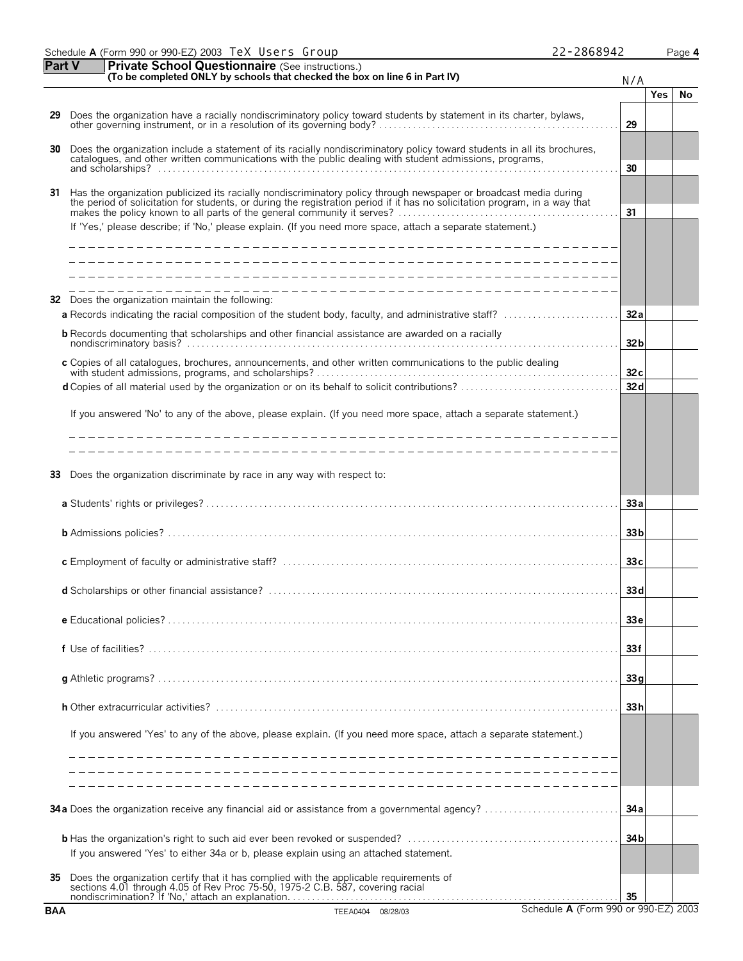|               | Schedule A (Form 990 or 990-EZ) 2003 TeX Users Group         | 22-2868942 | Page 4 |
|---------------|--------------------------------------------------------------|------------|--------|
| <b>Part V</b> | <b>Private School Questionnaire</b> (See instructions.)<br>. |            |        |

|  | 2-2868942 |  |
|--|-----------|--|
|--|-----------|--|

|            | (To be completed ONLY by schools that checked the box on line 6 in Part IV)                                                                                                                                                                      | N/A             |            |     |
|------------|--------------------------------------------------------------------------------------------------------------------------------------------------------------------------------------------------------------------------------------------------|-----------------|------------|-----|
|            |                                                                                                                                                                                                                                                  |                 | <b>Yes</b> | No. |
| 29         | Does the organization have a racially nondiscriminatory policy toward students by statement in its charter, bylaws,                                                                                                                              | 29              |            |     |
| 30         | Does the organization include a statement of its racially nondiscriminatory policy toward students in all its brochures, catalogues, and other written communications with the public dealing with student admissions, program                   |                 |            |     |
|            |                                                                                                                                                                                                                                                  | 30              |            |     |
| 31         | Has the organization publicized its racially nondiscriminatory policy through newspaper or broadcast media during<br>the period of solicitation for students, or during the registration period if it has no solicitation program, in a way that | 31              |            |     |
|            | If 'Yes,' please describe; if 'No,' please explain. (If you need more space, attach a separate statement.)                                                                                                                                       |                 |            |     |
|            |                                                                                                                                                                                                                                                  |                 |            |     |
|            |                                                                                                                                                                                                                                                  |                 |            |     |
|            |                                                                                                                                                                                                                                                  |                 |            |     |
|            |                                                                                                                                                                                                                                                  |                 |            |     |
|            | <b>32</b> Does the organization maintain the following:                                                                                                                                                                                          |                 |            |     |
|            | a Records indicating the racial composition of the student body, faculty, and administrative staff?                                                                                                                                              | 32a             |            |     |
|            | <b>b</b> Records documenting that scholarships and other financial assistance are awarded on a racially                                                                                                                                          |                 |            |     |
|            |                                                                                                                                                                                                                                                  | 32 <sub>b</sub> |            |     |
|            | c Copies of all catalogues, brochures, announcements, and other written communications to the public dealing                                                                                                                                     |                 |            |     |
|            |                                                                                                                                                                                                                                                  | 32c<br>32d      |            |     |
|            |                                                                                                                                                                                                                                                  |                 |            |     |
|            | If you answered 'No' to any of the above, please explain. (If you need more space, attach a separate statement.)                                                                                                                                 |                 |            |     |
|            |                                                                                                                                                                                                                                                  |                 |            |     |
|            |                                                                                                                                                                                                                                                  |                 |            |     |
|            |                                                                                                                                                                                                                                                  |                 |            |     |
|            | 33 Does the organization discriminate by race in any way with respect to:                                                                                                                                                                        |                 |            |     |
|            |                                                                                                                                                                                                                                                  |                 |            |     |
|            |                                                                                                                                                                                                                                                  | 33a             |            |     |
|            |                                                                                                                                                                                                                                                  |                 |            |     |
|            |                                                                                                                                                                                                                                                  | 33 <sub>b</sub> |            |     |
|            |                                                                                                                                                                                                                                                  | 33c             |            |     |
|            |                                                                                                                                                                                                                                                  |                 |            |     |
|            |                                                                                                                                                                                                                                                  | 33 <sub>d</sub> |            |     |
|            |                                                                                                                                                                                                                                                  |                 |            |     |
|            |                                                                                                                                                                                                                                                  | 33 e            |            |     |
|            |                                                                                                                                                                                                                                                  |                 |            |     |
|            |                                                                                                                                                                                                                                                  | 33f             |            |     |
|            |                                                                                                                                                                                                                                                  |                 |            |     |
|            |                                                                                                                                                                                                                                                  | 33g             |            |     |
|            |                                                                                                                                                                                                                                                  |                 |            |     |
|            |                                                                                                                                                                                                                                                  | 33h             |            |     |
|            | If you answered 'Yes' to any of the above, please explain. (If you need more space, attach a separate statement.)                                                                                                                                |                 |            |     |
|            |                                                                                                                                                                                                                                                  |                 |            |     |
|            |                                                                                                                                                                                                                                                  |                 |            |     |
|            |                                                                                                                                                                                                                                                  |                 |            |     |
|            |                                                                                                                                                                                                                                                  |                 |            |     |
|            | 34a Does the organization receive any financial aid or assistance from a governmental agency?                                                                                                                                                    | 34 a            |            |     |
|            |                                                                                                                                                                                                                                                  |                 |            |     |
|            |                                                                                                                                                                                                                                                  | 34 <sub>b</sub> |            |     |
|            | If you answered 'Yes' to either 34a or b, please explain using an attached statement.                                                                                                                                                            |                 |            |     |
| 35         |                                                                                                                                                                                                                                                  |                 |            |     |
|            | Does the organization certify that it has complied with the applicable requirements of sections 4.01 through 4.05 of Rev Proc 75-50, 1975-2 C.B. 587, covering racial                                                                            |                 |            |     |
|            | Schedule A (Form 990 or 990-EZ) 2003                                                                                                                                                                                                             | 35              |            |     |
| <b>BAA</b> | TEEA0404 08/28/03                                                                                                                                                                                                                                |                 |            |     |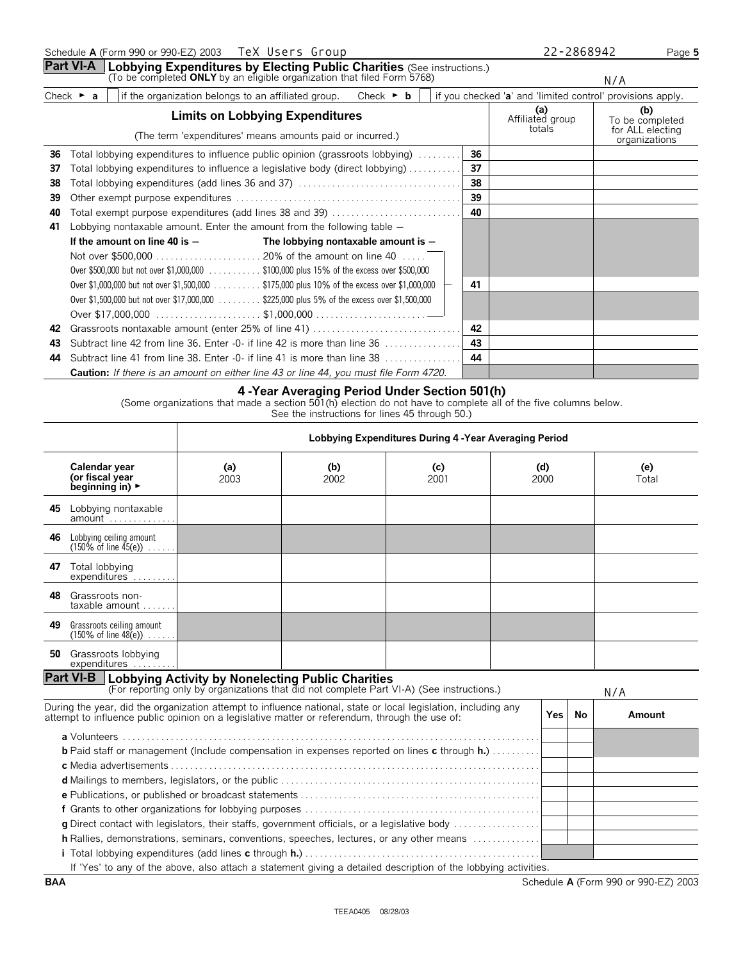**Part VI-A** | Lobbying Expenditures by Electing Public Charities (See instructions.)<br>(To be completed ONLY by an eligible organization that filed Form 5768)

N/A

| Check | $-0.00000$<br>aroup.<br>attiliated<br>. ganization<br>. belongs to an<br>me | Check | $\cdot$ +<br>iecked ' <b>a</b><br>VOL. | and<br>'limited | provisions apply.<br>control' |
|-------|-----------------------------------------------------------------------------|-------|----------------------------------------|-----------------|-------------------------------|
|       |                                                                             |       |                                        | 68 I            | m                             |

|    | <b>Limits on Lobbying Expenditures</b>                                                       |    | (a)<br>Affiliated group | (b)<br>To be completed            |
|----|----------------------------------------------------------------------------------------------|----|-------------------------|-----------------------------------|
|    | (The term 'expenditures' means amounts paid or incurred.)                                    |    | totals                  | for ALL electing<br>organizations |
| 36 | Total lobbying expenditures to influence public opinion (grassroots lobbying)                | 36 |                         |                                   |
| 37 | Total lobbying expenditures to influence a legislative body (direct lobbying)                | 37 |                         |                                   |
| 38 |                                                                                              | 38 |                         |                                   |
| 39 |                                                                                              | 39 |                         |                                   |
| 40 | Total exempt purpose expenditures (add lines 38 and 39)                                      | 40 |                         |                                   |
| 41 | Lobbying nontaxable amount. Enter the amount from the following table $-$                    |    |                         |                                   |
|    | If the amount on line 40 is $-$<br>The lobbying nontaxable amount is $-$                     |    |                         |                                   |
|    |                                                                                              |    |                         |                                   |
|    | Over \$500,000 but not over \$1,000,000 \$100,000 plus 15% of the excess over \$500,000      |    |                         |                                   |
|    | Over \$1,000,000 but not over \$1,500,000 \$175,000 plus 10% of the excess over \$1,000,000  | 41 |                         |                                   |
|    | Over \$1,500,000 but not over \$17,000,000 \$225,000 plus 5% of the excess over \$1,500,000  |    |                         |                                   |
|    |                                                                                              |    |                         |                                   |
| 42 |                                                                                              | 42 |                         |                                   |
| 43 | Subtract line 42 from line 36. Enter -0- if line 42 is more than line 36                     | 43 |                         |                                   |
| 44 | Subtract line 41 from line 38. Enter $-0$ if line 41 is more than line 38 $\dots$            | 44 |                         |                                   |
|    | <b>Caution:</b> If there is an amount on either line 43 or line 44, you must file Form 4720. |    |                         |                                   |

### **4 -Year Averaging Period Under Section 501(h)**

(Some organizations that made a section 501(h) election do not have to complete all of the five columns below.

See the instructions for lines 45 through 50.)

|     |                                                                                                                                                                                                                  | Lobbying Expenditures During 4 - Year Averaging Period                                    |             |             |  |             |           |              |  |  |
|-----|------------------------------------------------------------------------------------------------------------------------------------------------------------------------------------------------------------------|-------------------------------------------------------------------------------------------|-------------|-------------|--|-------------|-----------|--------------|--|--|
|     | Calendar year<br>(or fiscal year<br>beginning in) $\blacktriangleright$                                                                                                                                          | (a)<br>2003                                                                               | (b)<br>2002 | (c)<br>2001 |  | (d)<br>2000 |           | (e)<br>Total |  |  |
|     | 45 Lobbying nontaxable<br>amount                                                                                                                                                                                 |                                                                                           |             |             |  |             |           |              |  |  |
| 46  | Lobbying ceiling amount<br>$(150\% \text{ of line } 45(e))$                                                                                                                                                      |                                                                                           |             |             |  |             |           |              |  |  |
| 47  | Total lobbying<br>expenditures                                                                                                                                                                                   |                                                                                           |             |             |  |             |           |              |  |  |
| 48. | Grassroots non-<br>$taxable$ amount $\dots$                                                                                                                                                                      |                                                                                           |             |             |  |             |           |              |  |  |
| 49  | Grassroots ceiling amount<br>$(150\% \text{ of line } 48(e)) \dots$ .                                                                                                                                            |                                                                                           |             |             |  |             |           |              |  |  |
|     | 50 Grassroots lobbying<br>expenditures                                                                                                                                                                           |                                                                                           |             |             |  |             |           |              |  |  |
|     | <b>Part VI-B</b> Lobbying Activity by Nonelecting Public Charities                                                                                                                                               | (For reporting only by organizations that did not complete Part VI-A) (See instructions.) |             |             |  |             |           | N/A          |  |  |
|     | During the year, did the organization attempt to influence national, state or local legislation, including any<br>attempt to influence public opinion on a legislative matter or referendum, through the use of: |                                                                                           |             |             |  | Yes         | <b>No</b> | Amount       |  |  |
|     | <b>b</b> Paid staff or management (Include compensation in expenses reported on lines c through h.)                                                                                                              |                                                                                           |             |             |  |             |           |              |  |  |
|     |                                                                                                                                                                                                                  |                                                                                           |             |             |  |             |           |              |  |  |
|     |                                                                                                                                                                                                                  |                                                                                           |             |             |  |             |           |              |  |  |
|     |                                                                                                                                                                                                                  |                                                                                           |             |             |  |             |           |              |  |  |
|     |                                                                                                                                                                                                                  |                                                                                           |             |             |  |             |           |              |  |  |
|     | g Direct contact with legislators, their staffs, government officials, or a legislative body<br>h Rallies, demonstrations, seminars, conventions, speeches, lectures, or any other means                         |                                                                                           |             |             |  |             |           |              |  |  |
|     |                                                                                                                                                                                                                  |                                                                                           |             |             |  |             |           |              |  |  |
|     | If 'Yes' to any of the above, also attach a statement giving a detailed description of the lobbying activities.                                                                                                  |                                                                                           |             |             |  |             |           |              |  |  |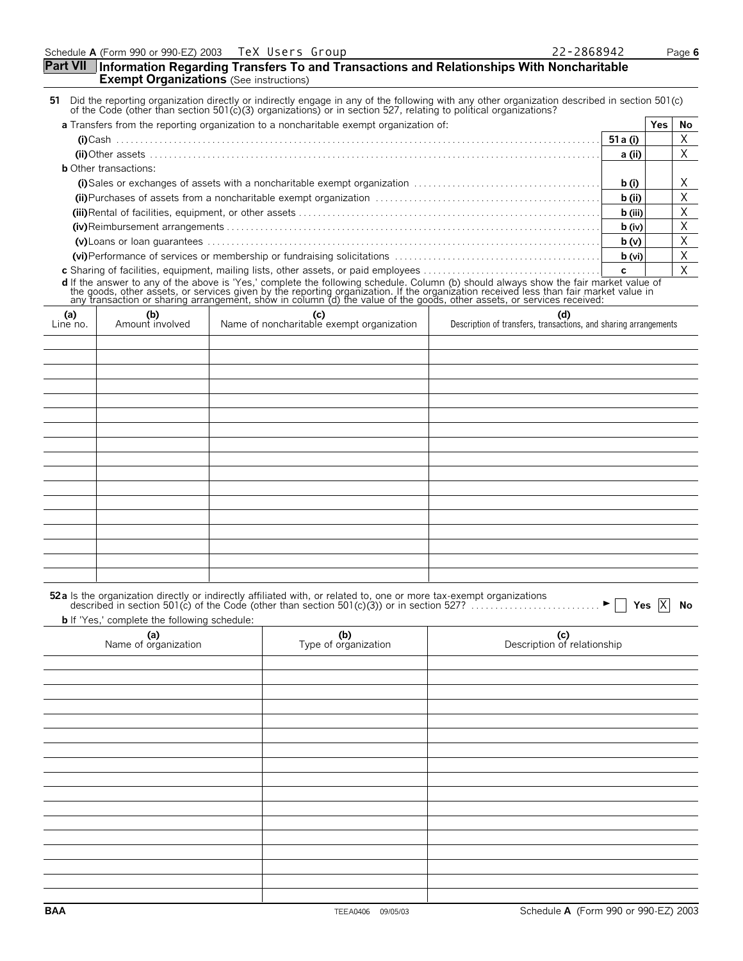## Schedule **A** (Form 990 or 990-EZ) 2003 Page **6 Part VII Information Regarding Transfers To and Transactions and Relationships With Noncharitable Exempt Organizations** (See instructions) 51 Did the reporting organization directly or indirectly engage in any of the following with any other organization described in section 501(c)<br>61 of the Code (other than section 501(c)(3) organizations) or in section 527, **a** Transfers from the reporting organization to a noncharitable exempt organization of: **Yes No (i)**Cash . . . . . . . . . . . . . . . . . . . . . . . . . . . . . . . . . . . . . . . . . . . . . . . . . . . . . . . . . . . . . . . . . . . . . . . . . . . . . . . . . . . . . . . . . . . . . . . . . . . . . **51a (i) (ii)**Other assets . . . . . . . . . . . . . . . . . . . . . . . . . . . . . . . . . . . . . . . . . . . . . . . . . . . . . . . . . . . . . . . . . . . . . . . . . . . . . . . . . . . . . . . . . . . . . . **a (ii) b** Other transactions: **(i)**Sales or exchanges of assets with a noncharitable exempt organization . . . . . . . . . . . . . . . . . . . . . . . . . . . . . . . . . . . . . . . **b (i) (ii)**Purchases of assets from a noncharitable exempt organization . . . . . . . . . . . . . . . . . . . . . . . . . . . . . . . . . . . . . . . . . . . . . . . **b (ii) (iii)**Rental of facilities, equipment, or other assets . . . . . . . . . . . . . . . . . . . . . . . . . . . . . . . . . . . . . . . . . . . . . . . . . . . . . . . . . . . . . . . **b (iii) (iv)**Reimbursement arrangements . . . . . . . . . . . . . . . . . . . . . . . . . . . . . . . . . . . . . . . . . . . . . . . . . . . . . . . . . . . . . . . . . . . . . . . . . . . . . . **b (iv) (v)**Loans or loan guarantees . . . . . . . . . . . . . . . . . . . . . . . . . . . . . . . . . . . . . . . . . . . . . . . . . . . . . . . . . . . . . . . . . . . . . . . . . . . . . . . . . . **b (v) (vi)**Performance of services or membership or fundraising solicitations . . . . . . . . . . . . . . . . . . . . . . . . . . . . . . . . . . . . . . . . . . . **b (vi) c** Sharing of facilities, equipment, mailing lists, other assets, or paid employees . . . . . . . . . . . . . . . . . . . . . . . . . . . . . . . . . . . . . **c d** If the answer to any of the above is 'Yes,' complete the following schedule. Column (b) should always show the fair market value of<br>the goods, other assets, or services given by the reporting organization. If the organ **(a)** Line no. **(b)** Amount involved **(c)** Name of noncharitable exempt organization **(d)** Description of transfers, transactions, and sharing arrangements 52a Is the organization directly or indirectly affiliated with, or related to, one or more tax-exempt organizations<br>described in section 501(c) of the Code (other than section 501(c)(3)) or in section 527? . . . . . . . . **b** If 'Yes,' complete the following schedule: **(a)** Name of organization **(b)** Type of organization **(c)** Description of relationship **BAA** TEEA0406 09/05/03 Schedule **A** (Form 990 or 990-EZ) 2003 TeX Users Group X X X X X X X X X  $\blacktriangleright \Box$  Yes  $\overline{X}$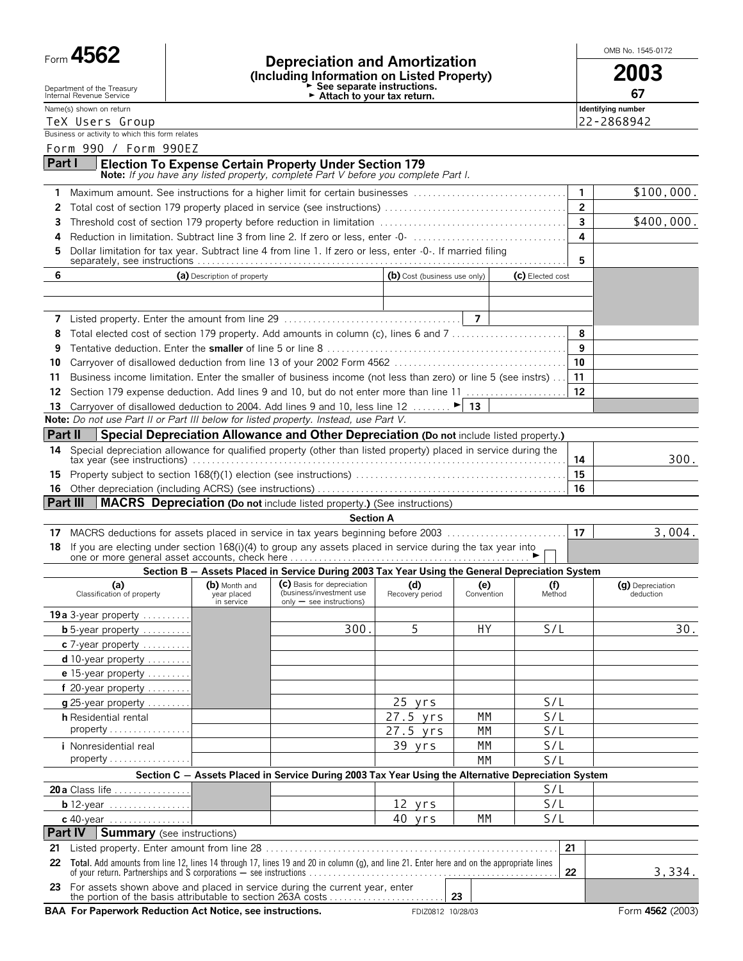| Б⁄<br>O<br>Н<br>r orm<br>ີ |  |
|----------------------------|--|
|----------------------------|--|

Department of the Treasury Internal Revenue Service

Form **4562 Depreciation and Amortization (Including Information on Listed Property) 2003** G **See separate instructions.** G **Attach to your tax return. 67**

OMB No. 1545-0172

Name(s) shown on return **Identifying number Identifying number Identifying number** 

| TeX Users Group                                 | 22-2868942 |
|-------------------------------------------------|------------|
| Business or activity to which this form relates |            |

Form 990 / Form 990EZ

| Part I | Election To Expense Certain Property Under Section 179                             |
|--------|------------------------------------------------------------------------------------|
|        | Note: If you have any listed property, complete Part V before you complete Part I. |

| <b>Note:</b> If you have any listed property, complete Part V before you complete Part I. |            |
|-------------------------------------------------------------------------------------------|------------|
|                                                                                           | \$100,000. |
|                                                                                           |            |

|                                                                                                              | \$400.000. |
|--------------------------------------------------------------------------------------------------------------|------------|
|                                                                                                              |            |
| 5 Dollar limitation for tax year. Subtract line 4 from line 1. If zero or less, enter -0-. If married filing |            |

| (a) Description of property                                                                                         | (b) Cost (business use only) | (c) Elected cost |   |
|---------------------------------------------------------------------------------------------------------------------|------------------------------|------------------|---|
|                                                                                                                     |                              |                  |   |
|                                                                                                                     |                              |                  |   |
|                                                                                                                     |                              |                  |   |
|                                                                                                                     |                              |                  |   |
|                                                                                                                     |                              |                  | 9 |
|                                                                                                                     |                              |                  |   |
| 11 Business income limitation. Enter the smaller of business income (not less than zero) or line 5 (see instrs)  11 |                              |                  |   |
|                                                                                                                     |                              |                  |   |

| Note: Do not use Part II or Part III below for listed property. Instead, use Part V.                               |     |      |  |  |  |
|--------------------------------------------------------------------------------------------------------------------|-----|------|--|--|--|
| <b>Part II</b> Special Depreciation Allowance and Other Depreciation (Do not include listed property.)             |     |      |  |  |  |
| 14 Special depreciation allowance for qualified property (other than listed property) placed in service during the |     | 300. |  |  |  |
|                                                                                                                    | -15 |      |  |  |  |
|                                                                                                                    |     |      |  |  |  |

**Part III MACRS** Depreciation (Do not include listed property.) (See instructions)

**13** Carryover of disallowed deduction to 2004. Add lines 9 and 10, less line 12  $\dots \dots$ 

#### **Section A**

|                                                                                                               | 3.004. |
|---------------------------------------------------------------------------------------------------------------|--------|
| 18 If you are electing under section 168(i)(4) to group any assets placed in service during the tax year into |        |

## **Section B** ' **Assets Placed in Service During 2003 Tax Year Using the General Depreciation System**

|                                                                                                                                                 |                                            | Section B — Assets Placed in Service During 2003 Tax Year Using the General Depreciation System     |                        |                   |               |    |                               |
|-------------------------------------------------------------------------------------------------------------------------------------------------|--------------------------------------------|-----------------------------------------------------------------------------------------------------|------------------------|-------------------|---------------|----|-------------------------------|
| (a)<br>Classification of property                                                                                                               | (b) Month and<br>year placed<br>in service | (c) Basis for depreciation<br>(business/investment use<br>$only - see$ instructions)                | (d)<br>Recovery period | (e)<br>Convention | (f)<br>Method |    | (g) Depreciation<br>deduction |
| 19a 3-year property                                                                                                                             |                                            |                                                                                                     |                        |                   |               |    |                               |
| $b$ 5-year property                                                                                                                             |                                            | 300.                                                                                                | 5                      | HY                | S/L           |    | 30.                           |
| c 7-year property                                                                                                                               |                                            |                                                                                                     |                        |                   |               |    |                               |
| d 10-year property                                                                                                                              |                                            |                                                                                                     |                        |                   |               |    |                               |
| e 15-year property                                                                                                                              |                                            |                                                                                                     |                        |                   |               |    |                               |
| f 20-year property                                                                                                                              |                                            |                                                                                                     |                        |                   |               |    |                               |
| g 25-year property                                                                                                                              |                                            |                                                                                                     | 25 yrs                 |                   | S/L           |    |                               |
| <b>h</b> Residential rental                                                                                                                     |                                            |                                                                                                     | 27.5 yrs               | МM                | S/L           |    |                               |
| $properly$                                                                                                                                      |                                            |                                                                                                     | 27.5 yrs               | МM                | S/L           |    |                               |
| <i>i</i> Nonresidential real                                                                                                                    |                                            |                                                                                                     | 39 yrs                 | МM                | S/L           |    |                               |
| $properly$                                                                                                                                      |                                            |                                                                                                     |                        | МM                | S/L           |    |                               |
|                                                                                                                                                 |                                            | Section C - Assets Placed in Service During 2003 Tax Year Using the Alternative Depreciation System |                        |                   |               |    |                               |
| 20 a Class life <u>.</u>                                                                                                                        |                                            |                                                                                                     |                        |                   | S/L           |    |                               |
| <b>b</b> 12-year                                                                                                                                |                                            |                                                                                                     | 12 yrs                 |                   | S/L           |    |                               |
| c 40-year $\ldots \ldots \ldots \ldots$                                                                                                         |                                            |                                                                                                     | 40 yrs                 | МM                | S/L           |    |                               |
| <b>Part IV   Summary</b> (see instructions)                                                                                                     |                                            |                                                                                                     |                        |                   |               |    |                               |
| 21                                                                                                                                              |                                            |                                                                                                     |                        |                   |               | 21 |                               |
| Total. Add amounts from line 12, lines 14 through 17, lines 19 and 20 in column (g), and line 21. Enter here and on the appropriate lines<br>22 |                                            |                                                                                                     |                        |                   |               | 22 | 3,334.                        |
| For assets shown above and placed in service during the current year, enter<br>23                                                               |                                            |                                                                                                     |                        |                   |               |    |                               |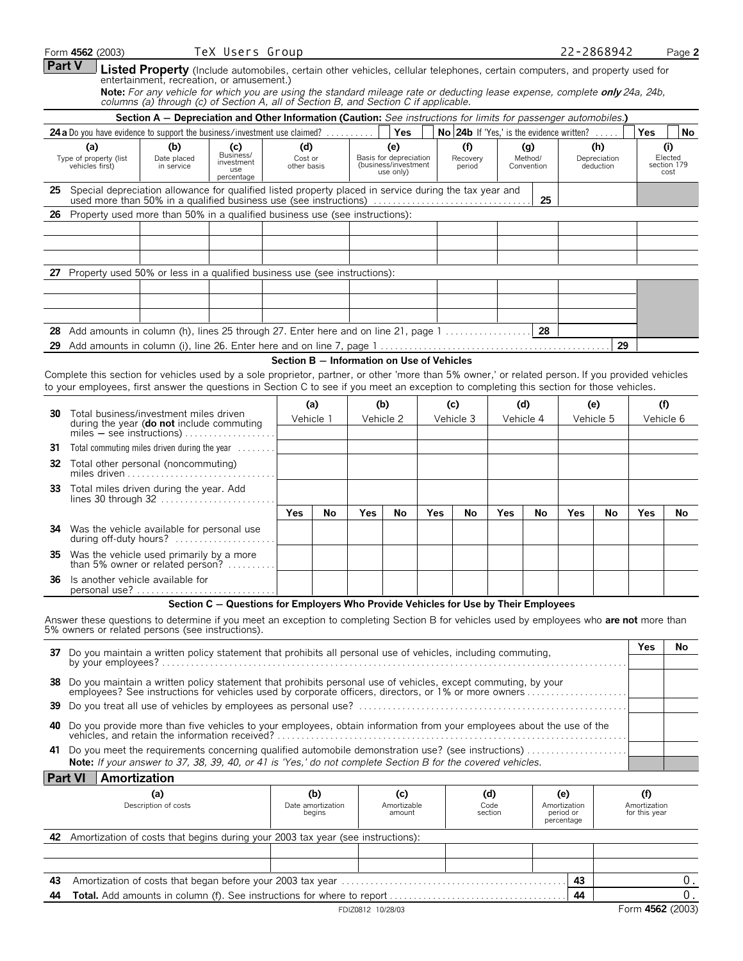|        | Form 4562 (2003)                                                                                                                                                                                                                                                                               |                                  | TeX Users Group                                                                                                                                                                                                     |                               |                                            |            |                                                                    |            |                                           |                        |                              |                                                | 22-2868942                       |                                      | Page 2                                |
|--------|------------------------------------------------------------------------------------------------------------------------------------------------------------------------------------------------------------------------------------------------------------------------------------------------|----------------------------------|---------------------------------------------------------------------------------------------------------------------------------------------------------------------------------------------------------------------|-------------------------------|--------------------------------------------|------------|--------------------------------------------------------------------|------------|-------------------------------------------|------------------------|------------------------------|------------------------------------------------|----------------------------------|--------------------------------------|---------------------------------------|
| Part V |                                                                                                                                                                                                                                                                                                |                                  | Listed Property (Include automobiles, certain other vehicles, cellular telephones, certain computers, and property used for<br>entertainment, recreation, or amusement.)                                            |                               |                                            |            |                                                                    |            |                                           |                        |                              |                                                |                                  |                                      |                                       |
|        |                                                                                                                                                                                                                                                                                                |                                  | Note: For any vehicle for which you are using the standard mileage rate or deducting lease expense, complete only 24a, 24b,<br>columns (a) through (c) of Section A, all of Section B, and Section C if applicable. |                               |                                            |            |                                                                    |            |                                           |                        |                              |                                                |                                  |                                      |                                       |
|        |                                                                                                                                                                                                                                                                                                |                                  | Section A - Depreciation and Other Information (Caution: See instructions for limits for passenger automobiles.)                                                                                                    |                               |                                            |            |                                                                    |            |                                           |                        |                              |                                                |                                  |                                      |                                       |
|        | 24a Do you have evidence to support the business/investment use claimed?                                                                                                                                                                                                                       |                                  |                                                                                                                                                                                                                     |                               |                                            |            | <b>Yes</b>                                                         |            | No 24b If 'Yes,' is the evidence written? |                        |                              |                                                |                                  | <b>Yes</b>                           | No                                    |
|        | (a)<br>Type of property (list<br>vehicles first)                                                                                                                                                                                                                                               | (b)<br>Date placed<br>in service | (c)<br>Business/<br>investment<br>use<br>percentage                                                                                                                                                                 | (d)<br>Cost or<br>other basis |                                            |            | (e)<br>Basis for depreciation<br>(business/investment<br>use only) |            | (f)<br>Recovery<br>period                 |                        | (g)<br>Method/<br>Convention |                                                | (h)<br>Depreciation<br>deduction |                                      | (i)<br>Elected<br>section 179<br>cost |
|        | 25 Special depreciation allowance for qualified listed property placed in service during the tax year and<br>used more than 50% in a qualified business use (see instructions)                                                                                                                 |                                  |                                                                                                                                                                                                                     |                               |                                            |            |                                                                    |            |                                           |                        | 25                           |                                                |                                  |                                      |                                       |
| 26     | Property used more than 50% in a qualified business use (see instructions):                                                                                                                                                                                                                    |                                  |                                                                                                                                                                                                                     |                               |                                            |            |                                                                    |            |                                           |                        |                              |                                                |                                  |                                      |                                       |
|        |                                                                                                                                                                                                                                                                                                |                                  |                                                                                                                                                                                                                     |                               |                                            |            |                                                                    |            |                                           |                        |                              |                                                |                                  |                                      |                                       |
|        | 27 Property used 50% or less in a qualified business use (see instructions):                                                                                                                                                                                                                   |                                  |                                                                                                                                                                                                                     |                               |                                            |            |                                                                    |            |                                           |                        |                              |                                                |                                  |                                      |                                       |
|        |                                                                                                                                                                                                                                                                                                |                                  |                                                                                                                                                                                                                     |                               |                                            |            |                                                                    |            |                                           |                        |                              |                                                |                                  |                                      |                                       |
|        |                                                                                                                                                                                                                                                                                                |                                  |                                                                                                                                                                                                                     |                               |                                            |            |                                                                    |            |                                           |                        | 28                           |                                                |                                  |                                      |                                       |
|        |                                                                                                                                                                                                                                                                                                |                                  |                                                                                                                                                                                                                     |                               |                                            |            |                                                                    |            |                                           |                        |                              |                                                | 29                               |                                      |                                       |
|        | Complete this section for vehicles used by a sole proprietor, partner, or other 'more than 5% owner,' or related person. If you provided vehicles<br>to your employees, first answer the questions in Section C to see if you meet an exception to completing this section for those vehicles. |                                  |                                                                                                                                                                                                                     |                               | Section B - Information on Use of Vehicles |            |                                                                    |            |                                           |                        |                              |                                                |                                  |                                      |                                       |
|        | <b>30</b> Total business/investment miles driven<br>during the year (do not include commuting                                                                                                                                                                                                  |                                  |                                                                                                                                                                                                                     |                               | (a)<br>Vehicle 1                           |            | (b)<br>Vehicle 2                                                   |            | (c)<br>Vehicle 3                          |                        | (d)<br>Vehicle 4             |                                                | (e)<br>Vehicle 5                 |                                      | (f)<br>Vehicle 6                      |
| 31     | Total commuting miles driven during the year $\dots\dots$                                                                                                                                                                                                                                      |                                  |                                                                                                                                                                                                                     |                               |                                            |            |                                                                    |            |                                           |                        |                              |                                                |                                  |                                      |                                       |
|        | <b>32</b> Total other personal (noncommuting)<br>miles driven $\ldots \ldots \ldots \ldots \ldots$                                                                                                                                                                                             |                                  |                                                                                                                                                                                                                     |                               |                                            |            |                                                                    |            |                                           |                        |                              |                                                |                                  |                                      |                                       |
| 33     | Total miles driven during the year. Add                                                                                                                                                                                                                                                        |                                  |                                                                                                                                                                                                                     |                               |                                            |            |                                                                    |            |                                           |                        |                              |                                                |                                  |                                      |                                       |
|        |                                                                                                                                                                                                                                                                                                |                                  |                                                                                                                                                                                                                     | <b>Yes</b>                    | No                                         | <b>Yes</b> | No                                                                 | <b>Yes</b> | No                                        | <b>Yes</b>             | No                           | <b>Yes</b>                                     | No                               | Yes                                  | No                                    |
|        | 34 Was the vehicle available for personal use<br>during off-duty hours?                                                                                                                                                                                                                        |                                  |                                                                                                                                                                                                                     |                               |                                            |            |                                                                    |            |                                           |                        |                              |                                                |                                  |                                      |                                       |
|        | 35 Was the vehicle used primarily by a more<br>than 5% owner or related person?                                                                                                                                                                                                                |                                  |                                                                                                                                                                                                                     |                               |                                            |            |                                                                    |            |                                           |                        |                              |                                                |                                  |                                      |                                       |
| 36     | Is another vehicle available for<br>personal use?.                                                                                                                                                                                                                                             |                                  |                                                                                                                                                                                                                     |                               |                                            |            |                                                                    |            |                                           |                        |                              |                                                |                                  |                                      |                                       |
|        | Answer these questions to determine if you meet an exception to completing Section B for vehicles used by employees who are not more than<br>5% owners or related persons (see instructions).                                                                                                  |                                  | Section C - Questions for Employers Who Provide Vehicles for Use by Their Employees                                                                                                                                 |                               |                                            |            |                                                                    |            |                                           |                        |                              |                                                |                                  |                                      |                                       |
|        | 37 Do you maintain a written policy statement that prohibits all personal use of vehicles, including commuting,                                                                                                                                                                                |                                  |                                                                                                                                                                                                                     |                               |                                            |            |                                                                    |            |                                           |                        |                              |                                                |                                  | Yes                                  | No                                    |
|        | 38 Do you maintain a written policy statement that prohibits personal use of vehicles, except commuting, by your                                                                                                                                                                               |                                  |                                                                                                                                                                                                                     |                               |                                            |            |                                                                    |            |                                           |                        |                              |                                                |                                  |                                      |                                       |
| 39     |                                                                                                                                                                                                                                                                                                |                                  |                                                                                                                                                                                                                     |                               |                                            |            |                                                                    |            |                                           |                        |                              |                                                |                                  |                                      |                                       |
|        | 40 Do you provide more than five vehicles to your employees, obtain information from your employees about the use of the                                                                                                                                                                       |                                  |                                                                                                                                                                                                                     |                               |                                            |            |                                                                    |            |                                           |                        |                              |                                                |                                  |                                      |                                       |
| 41     | Do you meet the requirements concerning qualified automobile demonstration use? (see instructions)<br>Note: If your answer to 37, 38, 39, 40, or 41 is 'Yes,' do not complete Section B for the covered vehicles.                                                                              |                                  |                                                                                                                                                                                                                     |                               |                                            |            |                                                                    |            |                                           |                        |                              |                                                |                                  |                                      |                                       |
|        | Amortization<br><b>Part VI</b>                                                                                                                                                                                                                                                                 |                                  |                                                                                                                                                                                                                     |                               |                                            |            |                                                                    |            |                                           |                        |                              |                                                |                                  |                                      |                                       |
|        |                                                                                                                                                                                                                                                                                                | (a)<br>Description of costs      |                                                                                                                                                                                                                     |                               | (b)<br>Date amortization<br>begins         |            | (c)<br>Amortizable<br>amount                                       |            |                                           | (d)<br>Code<br>section |                              | (e)<br>Amortization<br>period or<br>percentage |                                  | (f)<br>Amortization<br>for this year |                                       |
|        | 42 Amortization of costs that begins during your 2003 tax year (see instructions):                                                                                                                                                                                                             |                                  |                                                                                                                                                                                                                     |                               |                                            |            |                                                                    |            |                                           |                        |                              |                                                |                                  |                                      |                                       |
|        |                                                                                                                                                                                                                                                                                                |                                  |                                                                                                                                                                                                                     |                               |                                            |            |                                                                    |            |                                           |                        |                              |                                                |                                  |                                      |                                       |
| 43.    |                                                                                                                                                                                                                                                                                                |                                  |                                                                                                                                                                                                                     |                               |                                            |            |                                                                    |            |                                           |                        |                              | 43                                             |                                  |                                      | 0.                                    |

| 44 | $\degree$ Add amounts in column (f). See instructions for where to report $\ldots \ldots \ldots$<br>Total. . | -44 |               |
|----|--------------------------------------------------------------------------------------------------------------|-----|---------------|
|    | 10/28/03<br><b>DIZ0812</b>                                                                                   |     | 4562<br>'2003 |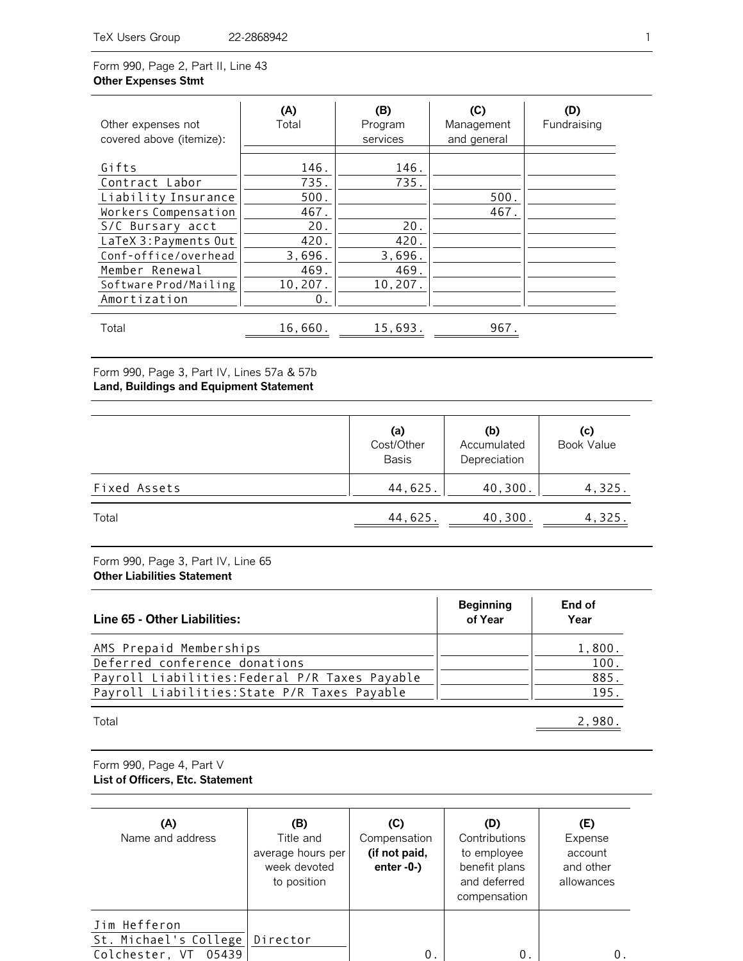Form 990, Page 2, Part II, Line 43 **Other Expenses Stmt**

| Other expenses not<br>covered above (itemize):                                                                                                                                                         | (A)<br>Total                                                                   | (B)<br>Program<br>services                               | (C)<br>Management<br>and general | (D)<br>Fundraising |
|--------------------------------------------------------------------------------------------------------------------------------------------------------------------------------------------------------|--------------------------------------------------------------------------------|----------------------------------------------------------|----------------------------------|--------------------|
| Gifts<br>Contract Labor<br>Liability Insurance<br>Workers Compensation<br>S/C Bursary acct<br>LaTeX 3: Payments Out<br>Conf-office/overhead<br>Member Renewal<br>Software Prod/Mailing<br>Amortization | 146.<br>735.<br>500.<br>467.<br>20.<br>420.<br>3,696.<br>469.<br>10,207.<br>0. | 146.<br>735.<br>20.<br>420.<br>3,696.<br>469.<br>10,207. | 500.<br>467.                     |                    |
| Total                                                                                                                                                                                                  | 16,660                                                                         | 15,693.                                                  | 967.                             |                    |

Form 990, Page 3, Part IV, Lines 57a & 57b **Land, Buildings and Equipment Statement**

|              | (a)<br>Cost/Other<br><b>Basis</b> | (b)<br>Accumulated<br>Depreciation | (c)<br><b>Book Value</b> |
|--------------|-----------------------------------|------------------------------------|--------------------------|
| Fixed Assets | 44,625.                           | 40,300.                            | 4,325.                   |
| Total        | 44,625.                           | 40,300.                            | 4,325.                   |

Form 990, Page 3, Part IV, Line 65 **Other Liabilities Statement**

| Line 65 - Other Liabilities:                                                                                                                               | <b>Beginning</b><br>of Year | End of<br>Year                 |
|------------------------------------------------------------------------------------------------------------------------------------------------------------|-----------------------------|--------------------------------|
| AMS Prepaid Memberships<br>Deferred conference donations<br>Payroll Liabilities: Federal P/R Taxes Payable<br>Payroll Liabilities: State P/R Taxes Payable |                             | 1,800.<br>100.<br>885.<br>195. |
| Total                                                                                                                                                      |                             | 2.980                          |

Form 990, Page 4, Part V **List of Officers, Etc. Statement**

| (A)<br>Name and address                                          | (B)<br>Title and<br>average hours per<br>week devoted<br>to position | (C)<br>Compensation<br>(if not paid,<br>enter $-0$ - $)$ | (D)<br>Contributions<br>to employee<br>benefit plans<br>and deferred<br>compensation | (E)<br>Expense<br>account<br>and other<br>allowances |
|------------------------------------------------------------------|----------------------------------------------------------------------|----------------------------------------------------------|--------------------------------------------------------------------------------------|------------------------------------------------------|
| Jim Hefferon<br>St. Michael's College<br>Colchester, VT<br>05439 | Director                                                             | 0.                                                       | 0                                                                                    |                                                      |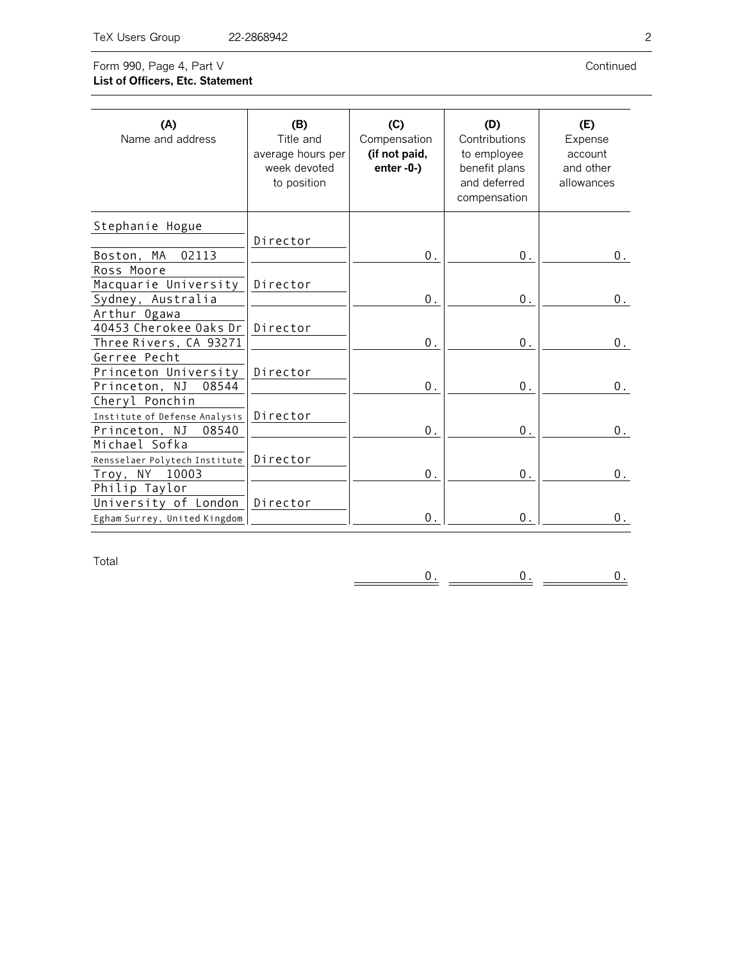## Form 990, Page 4, Part V **List of Officers, Etc. Statement**

Continued

| (A)<br>Name and address                                 | (B)<br>Title and<br>average hours per<br>week devoted<br>to position | (C)<br>Compensation<br>(if not paid,<br>$enter - 0-$ ) | (D)<br>Contributions<br>to employee<br>benefit plans<br>and deferred<br>compensation | (E)<br>Expense<br>account<br>and other<br>allowances |
|---------------------------------------------------------|----------------------------------------------------------------------|--------------------------------------------------------|--------------------------------------------------------------------------------------|------------------------------------------------------|
| Stephanie Hogue                                         |                                                                      |                                                        |                                                                                      |                                                      |
| Boston, MA<br>02113                                     | Director                                                             | 0.                                                     | $0$ .                                                                                | $0$ .                                                |
| Ross Moore                                              |                                                                      |                                                        |                                                                                      |                                                      |
| Macquarie University                                    | Director                                                             |                                                        |                                                                                      |                                                      |
| Sydney, Australia                                       |                                                                      | 0.                                                     | 0.                                                                                   | $0$ .                                                |
| Arthur Ogawa<br>40453 Cherokee Oaks Dr                  | Director                                                             |                                                        |                                                                                      |                                                      |
| Three Rivers, CA 93271                                  |                                                                      | $0$ .                                                  | $0$ .                                                                                | $0$ .                                                |
| Gerree Pecht                                            |                                                                      |                                                        |                                                                                      |                                                      |
| Princeton University                                    | Director                                                             |                                                        |                                                                                      |                                                      |
| Princeton, NJ<br>08544                                  |                                                                      | $\boldsymbol{0}$ .                                     | $0$ .                                                                                | $0$ .                                                |
| Cheryl Ponchin                                          |                                                                      |                                                        |                                                                                      |                                                      |
| Institute of Defense Analysis<br>Princeton, NJ<br>08540 | Director                                                             | 0.                                                     | 0.                                                                                   | $0$ .                                                |
| Michael Sofka                                           |                                                                      |                                                        |                                                                                      |                                                      |
| Rensselaer Polytech Institute                           | Director                                                             |                                                        |                                                                                      |                                                      |
| Troy, NY<br>10003                                       |                                                                      | $0$ .                                                  | $0$ .                                                                                | 0.                                                   |
| Philip Taylor                                           |                                                                      |                                                        |                                                                                      |                                                      |
| University of London                                    | Director                                                             |                                                        |                                                                                      |                                                      |
| Egham Surrey, United Kingdom                            |                                                                      | 0.                                                     | $0$ .                                                                                | 0.                                                   |

Total

 $\frac{0}{\cdot}$   $\equiv$  $\frac{0}{2}$  =  $0.$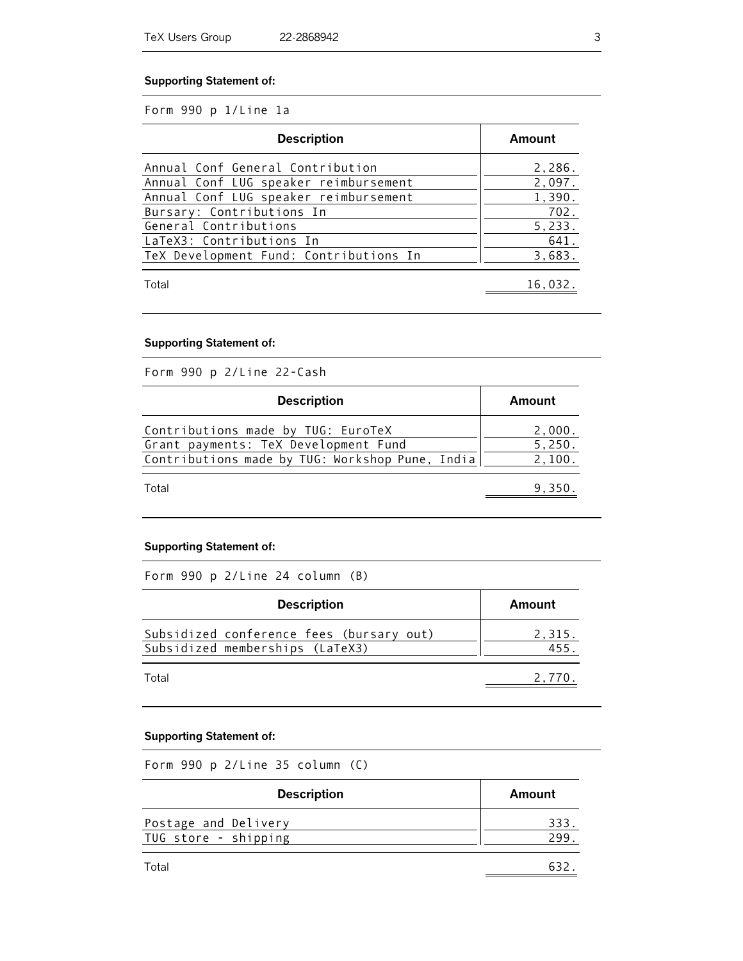#### **Supporting Statement of:**

#### Form 990 p 1/Line 1a

| <b>Description</b>                     | Amount  |
|----------------------------------------|---------|
| Annual Conf General Contribution       | 2,286.  |
| Annual Conf LUG speaker reimbursement  | 2,097.  |
| Annual Conf LUG speaker reimbursement  | 1,390.  |
| Bursary: Contributions In              | 702.    |
| General Contributions                  | 5,233.  |
| LaTeX3: Contributions In               | 641.    |
| TeX Development Fund: Contributions In | 3,683.  |
| Total                                  | 16,032. |

#### **Supporting Statement of:**

Form 990 p 2/Line 22-Cash

| <b>Description</b>                                                                                                            | Amount                     |
|-------------------------------------------------------------------------------------------------------------------------------|----------------------------|
| Contributions made by TUG: EuroTeX<br>Grant payments: TeX Development Fund<br>Contributions made by TUG: Workshop Pune, India | 2,000.<br>5,250.<br>2,100. |
| Total                                                                                                                         | 9.350.                     |

## **Supporting Statement of:**

Form 990 p 2/Line 24 column (B)

| <b>Description</b>                                                          | Amount        |
|-----------------------------------------------------------------------------|---------------|
| Subsidized conference fees (bursary out)<br>Subsidized memberships (LaTeX3) | 2,315.<br>455 |
| Total                                                                       | 2.770         |

#### **Supporting Statement of:**

Form 990 p 2/Line 35 column (C)

| <b>Description</b>   | Amount |
|----------------------|--------|
| Postage and Delivery | 333    |
| TUG store - shipping | 299    |
| Total                |        |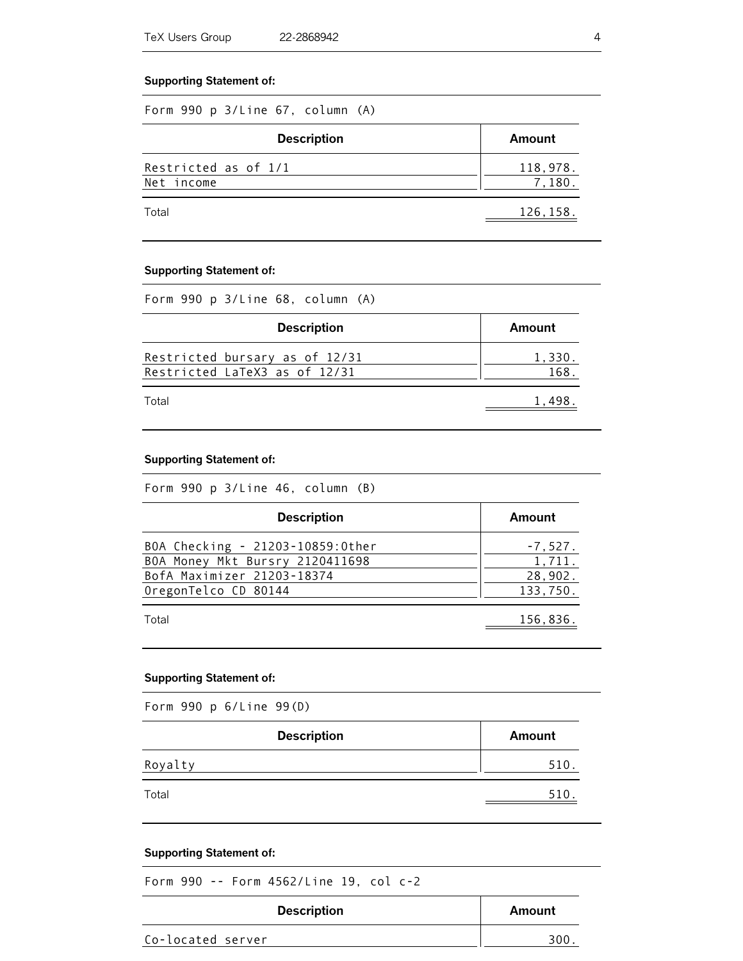#### **Supporting Statement of:**

|  |  |  |  | Form 990 p 3/Line 67, column (A) |  |
|--|--|--|--|----------------------------------|--|
|--|--|--|--|----------------------------------|--|

| <b>Description</b>                 | Amount             |
|------------------------------------|--------------------|
| Restricted as of 1/1<br>Net income | 118,978.<br>7.180. |
| Total                              | 126,158.           |

#### **Supporting Statement of:**

|  |  |  |  |  |  | Form 990 p 3/Line 68, column (A) |  |
|--|--|--|--|--|--|----------------------------------|--|
|--|--|--|--|--|--|----------------------------------|--|

| <b>Description</b>                                              | Amount         |
|-----------------------------------------------------------------|----------------|
| Restricted bursary as of 12/31<br>Restricted LaTeX3 as of 12/31 | 1,330.<br>168. |
| Total                                                           | 1.498          |

#### **Supporting Statement of:**

| Form 990 p 3/Line 46, column (B) |  |  |  |  |  |  |  |
|----------------------------------|--|--|--|--|--|--|--|
|----------------------------------|--|--|--|--|--|--|--|

| <b>Description</b>               | Amount    |
|----------------------------------|-----------|
| BOA Checking - 21203-10859:0ther | $-7,527.$ |
| BOA Money Mkt Bursry 2120411698  | 1,711.    |
| BofA Maximizer 21203-18374       | 28,902.   |
| OregonTelco CD 80144             | 133,750.  |
| Total                            | 156,836.  |

#### **Supporting Statement of:**

Form 990 p 6/Line 99(D)

| <b>Description</b> | Amount |
|--------------------|--------|
| Royalty            | 510    |
| Total              | 510    |

#### **Supporting Statement of:**

Form 990 -- Form 4562/Line 19, col c-2

| <b>Description</b> | Amount |
|--------------------|--------|
| Co-located server  | 300    |